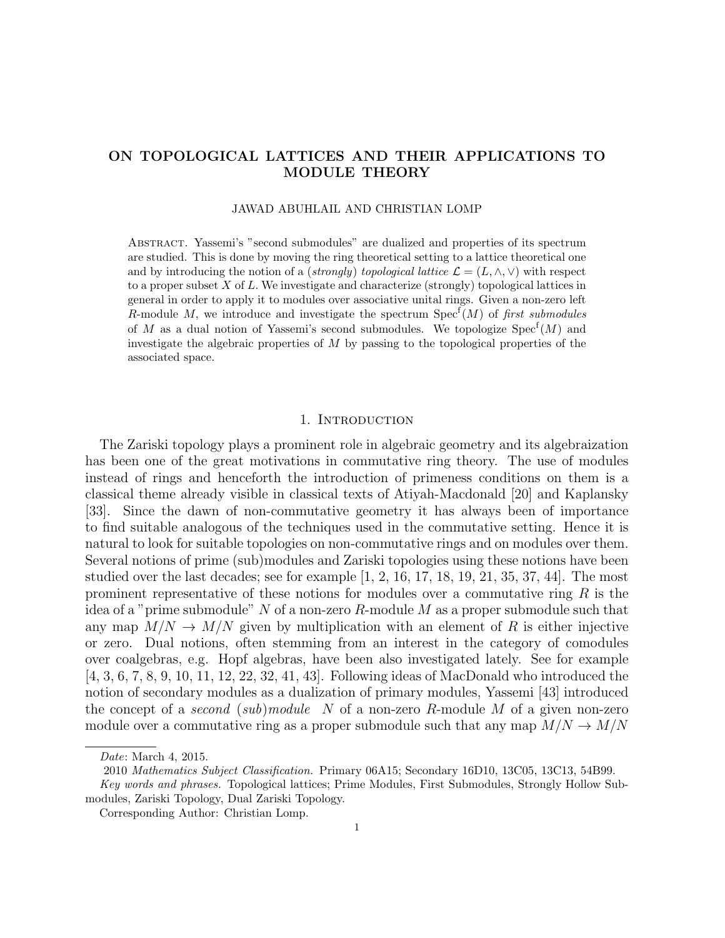## ON TOPOLOGICAL LATTICES AND THEIR APPLICATIONS TO MODULE THEORY

### JAWAD ABUHLAIL AND CHRISTIAN LOMP

Abstract. Yassemi's "second submodules" are dualized and properties of its spectrum are studied. This is done by moving the ring theoretical setting to a lattice theoretical one and by introducing the notion of a (strongly) topological lattice  $\mathcal{L} = (L, \wedge, \vee)$  with respect to a proper subset  $X$  of  $L$ . We investigate and characterize (strongly) topological lattices in general in order to apply it to modules over associative unital rings. Given a non-zero left R-module M, we introduce and investigate the spectrum  $Spec^{f}(M)$  of first submodules of M as a dual notion of Yassemi's second submodules. We topologize  $Spec<sup>f</sup>(M)$  and investigate the algebraic properties of  $M$  by passing to the topological properties of the associated space.

## 1. INTRODUCTION

The Zariski topology plays a prominent role in algebraic geometry and its algebraization has been one of the great motivations in commutative ring theory. The use of modules instead of rings and henceforth the introduction of primeness conditions on them is a classical theme already visible in classical texts of Atiyah-Macdonald [20] and Kaplansky [33]. Since the dawn of non-commutative geometry it has always been of importance to find suitable analogous of the techniques used in the commutative setting. Hence it is natural to look for suitable topologies on non-commutative rings and on modules over them. Several notions of prime (sub)modules and Zariski topologies using these notions have been studied over the last decades; see for example  $[1, 2, 16, 17, 18, 19, 21, 35, 37, 44]$ . The most prominent representative of these notions for modules over a commutative ring  $R$  is the idea of a "prime submodule" N of a non-zero R-module M as a proper submodule such that any map  $M/N \to M/N$  given by multiplication with an element of R is either injective or zero. Dual notions, often stemming from an interest in the category of comodules over coalgebras, e.g. Hopf algebras, have been also investigated lately. See for example [4, 3, 6, 7, 8, 9, 10, 11, 12, 22, 32, 41, 43]. Following ideas of MacDonald who introduced the notion of secondary modules as a dualization of primary modules, Yassemi [43] introduced the concept of a second (sub)module N of a non-zero R-module M of a given non-zero module over a commutative ring as a proper submodule such that any map  $M/N \to M/N$ 

Date: March 4, 2015.

<sup>2010</sup> Mathematics Subject Classification. Primary 06A15; Secondary 16D10, 13C05, 13C13, 54B99.

Key words and phrases. Topological lattices; Prime Modules, First Submodules, Strongly Hollow Submodules, Zariski Topology, Dual Zariski Topology.

Corresponding Author: Christian Lomp.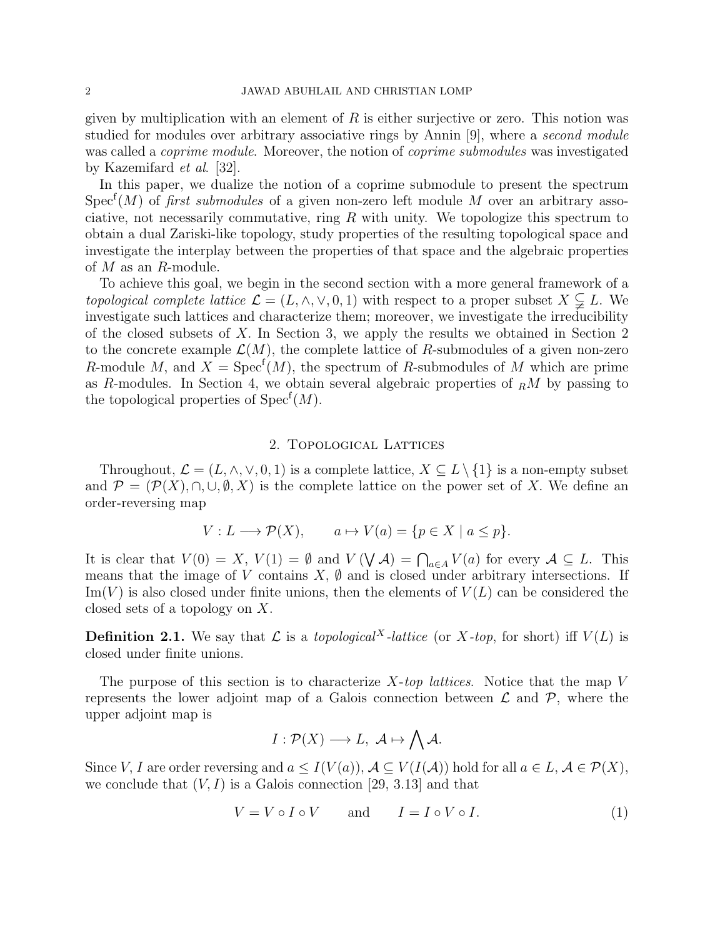given by multiplication with an element of  $R$  is either surjective or zero. This notion was studied for modules over arbitrary associative rings by Annin [9], where a second module was called a *coprime module*. Moreover, the notion of *coprime submodules* was investigated by Kazemifard et al. [32].

In this paper, we dualize the notion of a coprime submodule to present the spectrum Spec<sup>f</sup>(M) of *first submodules* of a given non-zero left module M over an arbitrary associative, not necessarily commutative, ring  $R$  with unity. We topologize this spectrum to obtain a dual Zariski-like topology, study properties of the resulting topological space and investigate the interplay between the properties of that space and the algebraic properties of  $M$  as an  $R$ -module.

To achieve this goal, we begin in the second section with a more general framework of a topological complete lattice  $\mathcal{L} = (L, \wedge, \vee, 0, 1)$  with respect to a proper subset  $X \subsetneq L$ . We investigate such lattices and characterize them; moreover, we investigate the irreducibility of the closed subsets of X. In Section 3, we apply the results we obtained in Section 2 to the concrete example  $\mathcal{L}(M)$ , the complete lattice of R-submodules of a given non-zero R-module M, and  $X = \text{Spec}^f(M)$ , the spectrum of R-submodules of M which are prime as R-modules. In Section 4, we obtain several algebraic properties of  $_R M$  by passing to the topological properties of  $Spec<sup>f</sup>(M)$ .

### 2. Topological Lattices

Throughout,  $\mathcal{L} = (L, \wedge, \vee, 0, 1)$  is a complete lattice,  $X \subseteq L \setminus \{1\}$  is a non-empty subset and  $\mathcal{P} = (\mathcal{P}(X), \cap, \cup, \emptyset, X)$  is the complete lattice on the power set of X. We define an order-reversing map

$$
V: L \longrightarrow \mathcal{P}(X), \qquad a \mapsto V(a) = \{p \in X \mid a \le p\}.
$$

It is clear that  $V(0) = X$ ,  $V(1) = \emptyset$  and  $V(\bigvee \mathcal{A}) = \bigcap_{a \in A} V(a)$  for every  $\mathcal{A} \subseteq L$ . This means that the image of V contains  $X, \emptyset$  and is closed under arbitrary intersections. If  $\text{Im}(V)$  is also closed under finite unions, then the elements of  $V(L)$  can be considered the closed sets of a topology on X.

**Definition 2.1.** We say that  $\mathcal L$  is a *topological*<sup>X</sup>-lattice (or X-top, for short) iff  $V(L)$  is closed under finite unions.

The purpose of this section is to characterize  $X$ -top lattices. Notice that the map V represents the lower adjoint map of a Galois connection between  $\mathcal L$  and  $\mathcal P$ , where the upper adjoint map is

$$
I: \mathcal{P}(X) \longrightarrow L, \ \mathcal{A} \mapsto \bigwedge \mathcal{A}.
$$

Since V, I are order reversing and  $a \leq I(V(a))$ ,  $\mathcal{A} \subseteq V(I(\mathcal{A}))$  hold for all  $a \in L$ ,  $\mathcal{A} \in \mathcal{P}(X)$ , we conclude that  $(V, I)$  is a Galois connection [29, 3.13] and that

$$
V = V \circ I \circ V \quad \text{and} \quad I = I \circ V \circ I. \tag{1}
$$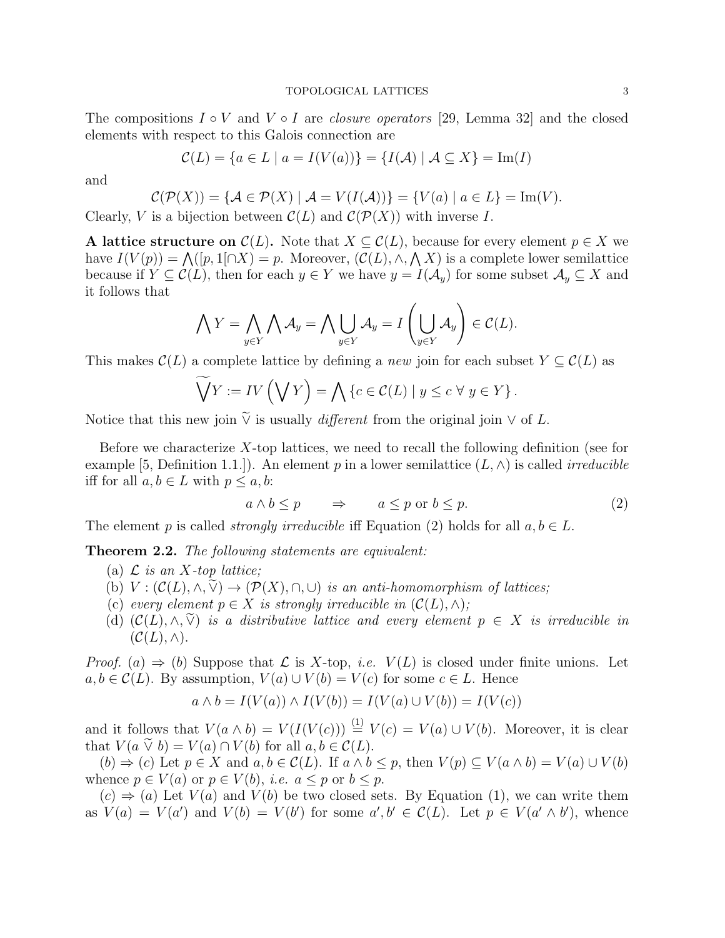The compositions  $I \circ V$  and  $V \circ I$  are *closure operators* [29, Lemma 32] and the closed elements with respect to this Galois connection are

$$
\mathcal{C}(L) = \{a \in L \mid a = I(V(a))\} = \{I(\mathcal{A}) \mid \mathcal{A} \subseteq X\} = \text{Im}(I)
$$

and

$$
\mathcal{C}(\mathcal{P}(X)) = \{ \mathcal{A} \in \mathcal{P}(X) \mid \mathcal{A} = V(I(\mathcal{A})) \} = \{ V(a) \mid a \in L \} = \text{Im}(V).
$$

Clearly, V is a bijection between  $\mathcal{C}(L)$  and  $\mathcal{C}(\mathcal{P}(X))$  with inverse I.

A lattice structure on  $\mathcal{C}(L)$ . Note that  $X \subseteq \mathcal{C}(L)$ , because for every element  $p \in X$  we have  $I(V(p)) = \bigwedge (p, 1 \cap X) = p$ . Moreover,  $(C(L), \wedge, \wedge X)$  is a complete lower semilattice because if  $Y \subseteq \mathcal{C}(L)$ , then for each  $y \in Y$  we have  $y = I(\mathcal{A}_y)$  for some subset  $\mathcal{A}_y \subseteq X$  and it follows that

$$
\bigwedge Y = \bigwedge_{y \in Y} \bigwedge \mathcal{A}_y = \bigwedge \bigcup_{y \in Y} \mathcal{A}_y = I \left( \bigcup_{y \in Y} \mathcal{A}_y \right) \in \mathcal{C}(L).
$$

This makes  $\mathcal{C}(L)$  a complete lattice by defining a new join for each subset  $Y \subseteq \mathcal{C}(L)$  as

$$
\widetilde{\bigvee} Y := IV \left( \bigvee Y \right) = \bigwedge \{ c \in \mathcal{C}(L) \mid y \leq c \,\forall \, y \in Y \}.
$$

Notice that this new join  $\widetilde{\vee}$  is usually *different* from the original join  $\vee$  of L.

Before we characterize  $X$ -top lattices, we need to recall the following definition (see for example [5, Definition 1.1.]). An element p in a lower semilattice  $(L, \wedge)$  is called *irreducible* iff for all  $a, b \in L$  with  $p \leq a, b$ :

$$
a \wedge b \le p \qquad \Rightarrow \qquad a \le p \text{ or } b \le p. \tag{2}
$$

The element p is called *strongly irreducible* iff Equation (2) holds for all  $a, b \in L$ .

**Theorem 2.2.** The following statements are equivalent:

- (a)  $\mathcal L$  is an X-top lattice;
- (b)  $V : (\mathcal{C}(L), \wedge, \widetilde{\vee}) \to (\mathcal{P}(X), \cap, \cup)$  is an anti-homomorphism of lattices;
- (c) every element  $p \in X$  is strongly irreducible in  $(C(L), \wedge);$
- (d)  $(C(L), \wedge, \widetilde{\vee})$  is a distributive lattice and every element  $p \in X$  is irreducible in  $(C(L), \wedge).$

*Proof.* (a)  $\Rightarrow$  (b) Suppose that L is X-top, *i.e.*  $V(L)$  is closed under finite unions. Let  $a, b \in \mathcal{C}(L)$ . By assumption,  $V(a) \cup V(b) = V(c)$  for some  $c \in L$ . Hence

$$
a \wedge b = I(V(a)) \wedge I(V(b)) = I(V(a) \cup V(b)) = I(V(c))
$$

and it follows that  $V(a \wedge b) = V(I(V(c))) \stackrel{(1)}{=} V(c) = V(a) \cup V(b)$ . Moreover, it is clear that  $V(a \tilde{\vee} b) = V(a) \cap V(b)$  for all  $a, b \in C(L)$ .

 $(b) \Rightarrow (c)$  Let  $p \in X$  and  $a, b \in \mathcal{C}(L)$ . If  $a \wedge b \leq p$ , then  $V(p) \subseteq V(a \wedge b) = V(a) \cup V(b)$ whence  $p \in V(a)$  or  $p \in V(b)$ , *i.e.*  $a \leq p$  or  $b \leq p$ .

 $(c) \Rightarrow (a)$  Let  $V(a)$  and  $V(b)$  be two closed sets. By Equation (1), we can write them as  $V(a) = V(a')$  and  $V(b) = V(b')$  for some  $a', b' \in C(L)$ . Let  $p \in V(a' \wedge b')$ , whence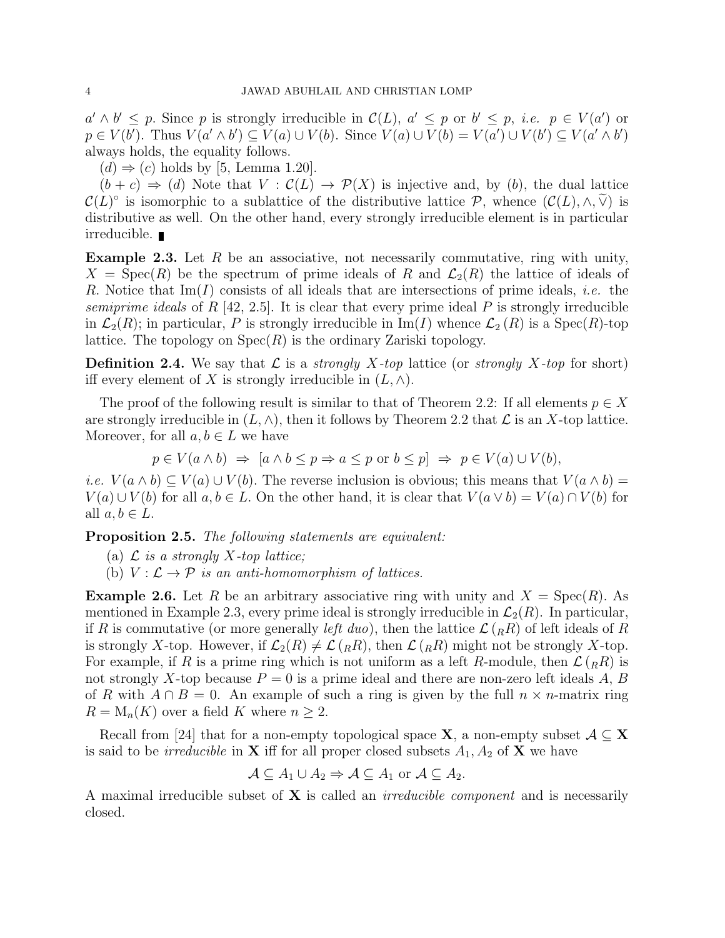$a' \wedge b' \leq p$ . Since p is strongly irreducible in  $\mathcal{C}(L)$ ,  $a' \leq p$  or  $b' \leq p$ , *i.e.*  $p \in V(a')$  or  $p \in V(b')$ . Thus  $V(a' \wedge b') \subseteq V(a) \cup V(b)$ . Since  $V(a) \cup V(b) = V(a') \cup V(b') \subseteq V(a' \wedge b')$ always holds, the equality follows.

 $(d) \Rightarrow (c)$  holds by [5, Lemma 1.20].

 $(b + c) \Rightarrow (d)$  Note that  $V : C(L) \rightarrow \mathcal{P}(X)$  is injective and, by (b), the dual lattice  $\mathcal{C}(L)^\circ$  is isomorphic to a sublattice of the distributive lattice  $\mathcal{P}$ , whence  $(\mathcal{C}(L), \wedge, \widetilde{\vee})$  is<br>distributive as well. On the other hand every strengly imply inducible element is in porticular distributive as well. On the other hand, every strongly irreducible element is in particular irreducible.

**Example 2.3.** Let  $R$  be an associative, not necessarily commutative, ring with unity,  $X = \text{Spec}(R)$  be the spectrum of prime ideals of R and  $\mathcal{L}_2(R)$  the lattice of ideals of R. Notice that  $\text{Im}(I)$  consists of all ideals that are intersections of prime ideals, *i.e.* the semiprime ideals of R [42, 2.5]. It is clear that every prime ideal P is strongly irreducible in  $\mathcal{L}_2(R)$ ; in particular, P is strongly irreducible in Im(I) whence  $\mathcal{L}_2(R)$  is a Spec(R)-top lattice. The topology on  $Spec(R)$  is the ordinary Zariski topology.

**Definition 2.4.** We say that  $\mathcal{L}$  is a *strongly X-top* lattice (or *strongly X-top* for short) iff every element of X is strongly irreducible in  $(L, \wedge)$ .

The proof of the following result is similar to that of Theorem 2.2: If all elements  $p \in X$ are strongly irreducible in  $(L, \wedge)$ , then it follows by Theorem 2.2 that  $\mathcal L$  is an X-top lattice. Moreover, for all  $a, b \in L$  we have

$$
p \in V(a \land b) \implies [a \land b \le p \Rightarrow a \le p \text{ or } b \le p] \implies p \in V(a) \cup V(b),
$$

*i.e.*  $V(a \wedge b) \subseteq V(a) \cup V(b)$ . The reverse inclusion is obvious; this means that  $V(a \wedge b) =$  $V(a) \cup V(b)$  for all  $a, b \in L$ . On the other hand, it is clear that  $V(a \vee b) = V(a) \cap V(b)$  for all  $a, b \in L$ .

Proposition 2.5. The following statements are equivalent:

(a)  $\mathcal L$  is a strongly X-top lattice;

(b)  $V : \mathcal{L} \to \mathcal{P}$  is an anti-homomorphism of lattices.

**Example 2.6.** Let R be an arbitrary associative ring with unity and  $X = \text{Spec}(R)$ . As mentioned in Example 2.3, every prime ideal is strongly irreducible in  $\mathcal{L}_2(R)$ . In particular, if R is commutative (or more generally *left duo*), then the lattice  $\mathcal{L}(R_R)$  of left ideals of R is strongly X-top. However, if  $\mathcal{L}_2(R) \neq \mathcal{L}(R,R)$ , then  $\mathcal{L}(R,R)$  might not be strongly X-top. For example, if R is a prime ring which is not uniform as a left R-module, then  $\mathcal{L}(R)$  is not strongly X-top because  $P = 0$  is a prime ideal and there are non-zero left ideals A, B of R with  $A \cap B = 0$ . An example of such a ring is given by the full  $n \times n$ -matrix ring  $R = M_n(K)$  over a field K where  $n \geq 2$ .

Recall from [24] that for a non-empty topological space **X**, a non-empty subset  $A \subseteq X$ is said to be *irreducible* in **X** iff for all proper closed subsets  $A_1$ ,  $A_2$  of **X** we have

$$
\mathcal{A} \subseteq A_1 \cup A_2 \Rightarrow \mathcal{A} \subseteq A_1 \text{ or } \mathcal{A} \subseteq A_2.
$$

A maximal irreducible subset of  $X$  is called an *irreducible component* and is necessarily closed.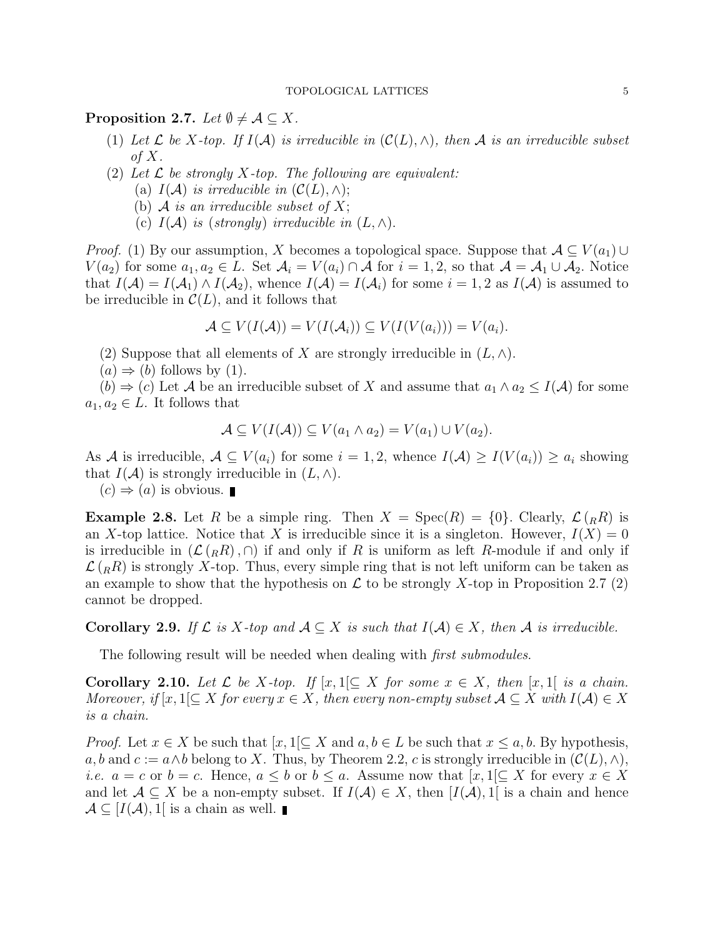## **Proposition 2.7.** Let  $\emptyset \neq \mathcal{A} \subseteq X$ .

- (1) Let  $\mathcal L$  be X-top. If  $I(\mathcal A)$  is irreducible in  $(\mathcal C(L), \wedge)$ , then  $\mathcal A$  is an irreducible subset of  $X$ .
- (2) Let  $\mathcal L$  be strongly X-top. The following are equivalent:
	- (a)  $I(\mathcal{A})$  is irreducible in  $(\mathcal{C}(L), \wedge);$
	- (b) A is an irreducible subset of  $X$ ;
	- (c)  $I(\mathcal{A})$  is (strongly) irreducible in  $(L, \wedge)$ .

*Proof.* (1) By our assumption, X becomes a topological space. Suppose that  $A \subseteq V(a_1) \cup$  $V(a_2)$  for some  $a_1, a_2 \in L$ . Set  $\mathcal{A}_i = V(a_i) \cap \mathcal{A}$  for  $i = 1, 2$ , so that  $\mathcal{A} = \mathcal{A}_1 \cup \mathcal{A}_2$ . Notice that  $I(A) = I(A_1) \wedge I(A_2)$ , whence  $I(A) = I(A_i)$  for some  $i = 1, 2$  as  $I(A)$  is assumed to be irreducible in  $\mathcal{C}(L)$ , and it follows that

$$
\mathcal{A} \subseteq V(I(\mathcal{A})) = V(I(\mathcal{A}_i)) \subseteq V(I(V(a_i))) = V(a_i).
$$

- (2) Suppose that all elements of X are strongly irreducible in  $(L, \wedge)$ .
- $(a) \Rightarrow (b)$  follows by (1).

 $(b) \Rightarrow (c)$  Let A be an irreducible subset of X and assume that  $a_1 \wedge a_2 \leq I(\mathcal{A})$  for some  $a_1, a_2 \in L$ . It follows that

$$
\mathcal{A} \subseteq V(I(\mathcal{A})) \subseteq V(a_1 \wedge a_2) = V(a_1) \cup V(a_2).
$$

As A is irreducible,  $A \subseteq V(a_i)$  for some  $i = 1, 2$ , whence  $I(A) \geq I(V(a_i)) \geq a_i$  showing that  $I(\mathcal{A})$  is strongly irreducible in  $(L, \wedge)$ .

 $(c) \Rightarrow (a)$  is obvious.

**Example 2.8.** Let R be a simple ring. Then  $X = \text{Spec}(R) = \{0\}$ . Clearly,  $\mathcal{L}(R)$  is an X-top lattice. Notice that X is irreducible since it is a singleton. However,  $I(X) = 0$ is irreducible in  $(\mathcal{L}(R), \cap)$  if and only if R is uniform as left R-module if and only if  $\mathcal{L}(R_R)$  is strongly X-top. Thus, every simple ring that is not left uniform can be taken as an example to show that the hypothesis on  $\mathcal L$  to be strongly X-top in Proposition 2.7 (2) cannot be dropped.

**Corollary 2.9.** If  $\mathcal{L}$  is X-top and  $\mathcal{A} \subset X$  is such that  $I(\mathcal{A}) \in X$ , then  $\mathcal{A}$  is irreducible.

The following result will be needed when dealing with *first submodules*.

**Corollary 2.10.** Let  $\mathcal L$  be X-top. If  $[x,1] \subseteq X$  for some  $x \in X$ , then  $[x,1]$  is a chain. Moreover, if  $[x,1]\subseteq X$  for every  $x\in X$ , then every non-empty subset  $A\subseteq X$  with  $I(A)\in X$ is a chain.

*Proof.* Let  $x \in X$  be such that  $[x, 1] \subseteq X$  and  $a, b \in L$  be such that  $x \leq a, b$ . By hypothesis, a, b and  $c := a \wedge b$  belong to X. Thus, by Theorem 2.2, c is strongly irreducible in  $(C(L), \wedge)$ , *i.e.*  $a = c$  or  $b = c$ . Hence,  $a \leq b$  or  $b \leq a$ . Assume now that  $[x, 1] \subseteq X$  for every  $x \in X$ and let  $A \subseteq X$  be a non-empty subset. If  $I(A) \in X$ , then  $[I(A), 1]$  is a chain and hence  $\mathcal{A} \subseteq [I(\mathcal{A}), 1]$  is a chain as well.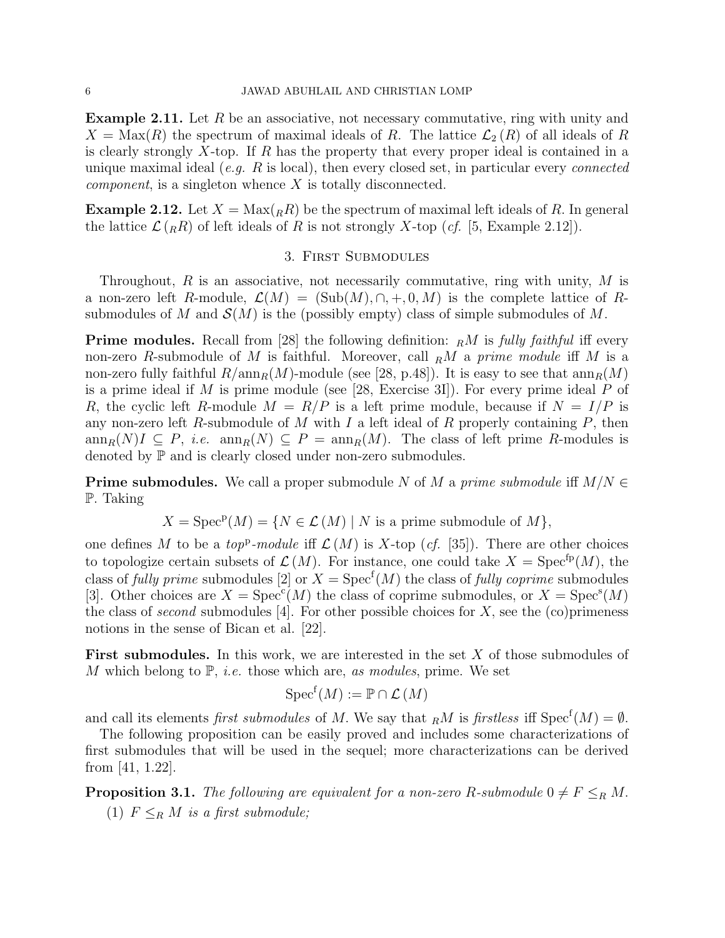**Example 2.11.** Let  $R$  be an associative, not necessary commutative, ring with unity and  $X = \text{Max}(R)$  the spectrum of maximal ideals of R. The lattice  $\mathcal{L}_2(R)$  of all ideals of R is clearly strongly X-top. If R has the property that every proper ideal is contained in a unique maximal ideal  $(e,q, R)$  is local), then every closed set, in particular every *connected component*, is a singleton whence  $X$  is totally disconnected.

**Example 2.12.** Let  $X = Max(RR)$  be the spectrum of maximal left ideals of R. In general the lattice  $\mathcal{L}(R_R)$  of left ideals of R is not strongly X-top (*cf.* [5, Example 2.12]).

### 3. First Submodules

Throughout,  $R$  is an associative, not necessarily commutative, ring with unity,  $M$  is a non-zero left R-module,  $\mathcal{L}(M) = (\text{Sub}(M), \cap, +, 0, M)$  is the complete lattice of Rsubmodules of M and  $\mathcal{S}(M)$  is the (possibly empty) class of simple submodules of M.

**Prime modules.** Recall from [28] the following definition:  $_R M$  is fully faithful iff every non-zero R-submodule of M is faithful. Moreover, call  $_R M$  a prime module iff M is a non-zero fully faithful  $R/\text{ann}_R(M)$ -module (see [28, p.48]). It is easy to see that  $\text{ann}_R(M)$ is a prime ideal if  $M$  is prime module (see [28, Exercise 3I]). For every prime ideal  $P$  of R, the cyclic left R-module  $M = R/P$  is a left prime module, because if  $N = I/P$  is any non-zero left R-submodule of M with I a left ideal of R properly containing  $P$ , then  $\text{ann}_R(N)I \subseteq P$ , *i.e.*  $\text{ann}_R(N) \subseteq P = \text{ann}_R(M)$ . The class of left prime R-modules is denoted by  $\mathbb P$  and is clearly closed under non-zero submodules.

**Prime submodules.** We call a proper submodule N of M a prime submodule iff  $M/N \in$ P. Taking

$$
X = \operatorname{Spec}^{\mathbf{p}}(M) = \{ N \in \mathcal{L}(M) \mid N \text{ is a prime submodule of } M \},
$$

one defines M to be a top<sup>p</sup>-module iff  $\mathcal{L}(M)$  is X-top (cf. [35]). There are other choices to topologize certain subsets of  $\mathcal{L}(M)$ . For instance, one could take  $X = \text{Spec}^{\text{fp}}(M)$ , the class of *fully prime* submodules [2] or  $X = \text{Spec}^f(M)$  the class of *fully coprime* submodules [3]. Other choices are  $X = \text{Spec}^c(M)$  the class of coprime submodules, or  $X = \text{Spec}^s(M)$ the class of second submodules [4]. For other possible choices for  $X$ , see the (co)primeness notions in the sense of Bican et al. [22].

First submodules. In this work, we are interested in the set X of those submodules of M which belong to  $\mathbb{P}$ , *i.e.* those which are, *as modules*, prime. We set

$$
\operatorname{Spec}^{\operatorname{f}}(M) := \mathbb{P} \cap \mathcal{L}(M)
$$

and call its elements *first submodules* of M. We say that  $_R M$  is *firstless* iff  $Spec^{f}(M) = \emptyset$ .

The following proposition can be easily proved and includes some characterizations of first submodules that will be used in the sequel; more characterizations can be derived from [41, 1.22].

**Proposition 3.1.** The following are equivalent for a non-zero R-submodule  $0 \neq F \leq_R M$ . (1)  $F \leq_R M$  is a first submodule;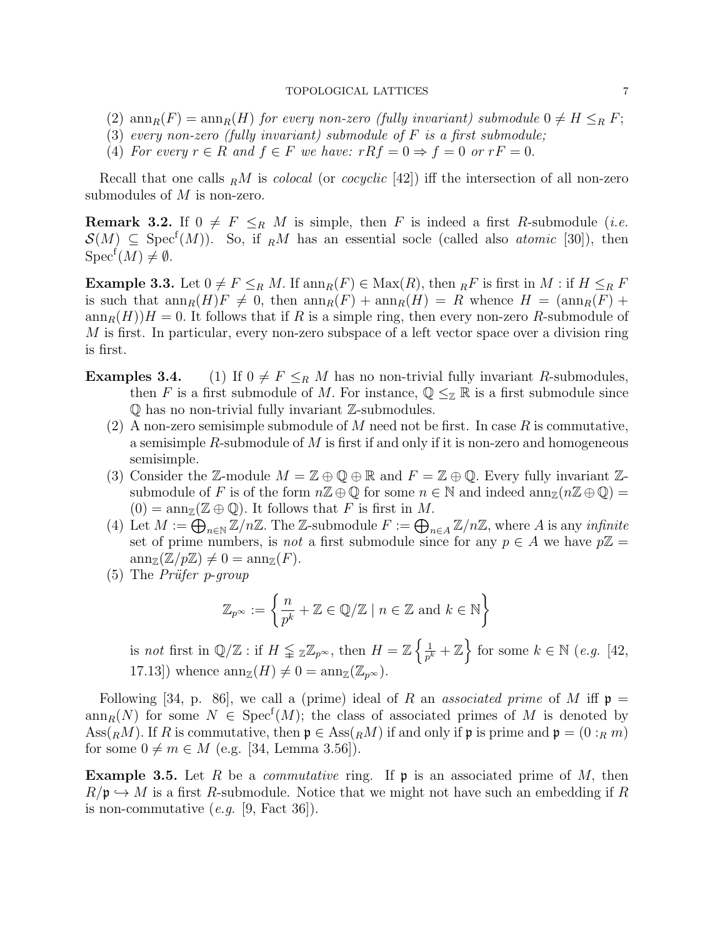### TOPOLOGICAL LATTICES 7

- (2)  $\text{ann}_R(F) = \text{ann}_R(H)$  for every non-zero (fully invariant) submodule  $0 \neq H \leq_R F$ ;
- (3) every non-zero (fully invariant) submodule of  $F$  is a first submodule;
- (4) For every  $r \in R$  and  $f \in F$  we have:  $rRf = 0 \Rightarrow f = 0$  or  $rF = 0$ .

Recall that one calls  $_R M$  is *colocal* (or *cocyclic* [42]) iff the intersection of all non-zero submodules of  $M$  is non-zero.

**Remark 3.2.** If  $0 \neq F \leq_R M$  is simple, then F is indeed a first R-submodule (*i.e.*  $\mathcal{S}(M) \subseteq \text{Spec}^f(M)$ . So, if RM has an essential socle (called also *atomic* [30]), then  $Spec^f(M) \neq \emptyset$ .

**Example 3.3.** Let  $0 \neq F \leq_R M$ . If  $\text{ann}_R(F) \in \text{Max}(R)$ , then  $_R F$  is first in M : if  $H \leq_R F$ is such that  $\operatorname{ann}_R(H)F \neq 0$ , then  $\operatorname{ann}_R(F) + \operatorname{ann}_R(H) = R$  whence  $H = (\operatorname{ann}_R(F) +$  $\operatorname{ann}_R(H)$  = 0. It follows that if R is a simple ring, then every non-zero R-submodule of  $M$  is first. In particular, every non-zero subspace of a left vector space over a division ring is first.

- **Examples 3.4.** (1) If  $0 \neq F \leq_R M$  has no non-trivial fully invariant R-submodules, then F is a first submodule of M. For instance,  $\mathbb{Q} \leq_{\mathbb{Z}} \mathbb{R}$  is a first submodule since Q has no non-trivial fully invariant Z-submodules.
	- (2) A non-zero semisimple submodule of M need not be first. In case R is commutative, a semisimple  $R$ -submodule of  $M$  is first if and only if it is non-zero and homogeneous semisimple.
	- (3) Consider the Z-module  $M = \mathbb{Z} \oplus \mathbb{Q} \oplus \mathbb{R}$  and  $F = \mathbb{Z} \oplus \mathbb{Q}$ . Every fully invariant Zsubmodule of F is of the form  $n\mathbb{Z} \oplus \mathbb{Q}$  for some  $n \in \mathbb{N}$  and indeed  $\text{ann}_{\mathbb{Z}}(n\mathbb{Z} \oplus \mathbb{Q})$  $(0) = \operatorname{ann}_{\mathbb{Z}}(\mathbb{Z} \oplus \mathbb{Q})$ . It follows that F is first in M.
	- (4) Let  $M := \bigoplus_{n \in \mathbb{N}} \mathbb{Z}/n\mathbb{Z}$ . The Z-submodule  $F := \bigoplus_{n \in A} \mathbb{Z}/n\mathbb{Z}$ , where A is any *infinite* set of prime numbers, is *not* a first submodule since for any  $p \in A$  we have  $p\mathbb{Z} =$  $ann_{\mathbb{Z}}(\mathbb{Z}/p\mathbb{Z}) \neq 0 = ann_{\mathbb{Z}}(F).$
	- $(5)$  The *Prüfer p-group*

$$
\mathbb{Z}_{p^{\infty}} := \left\{ \frac{n}{p^k} + \mathbb{Z} \in \mathbb{Q}/\mathbb{Z} \mid n \in \mathbb{Z} \text{ and } k \in \mathbb{N} \right\}
$$

is not first in  $\mathbb{Q}/\mathbb{Z}$ : if  $H \leqq \mathbb{Z}_{p^{\infty}}$ , then  $H = \mathbb{Z} \left\{ \frac{1}{p^{\ell}} \right\}$  $\frac{1}{p^k} + \mathbb{Z}$  for some  $k \in \mathbb{N}$  (e.g. [42, 17.13]) whence  $\text{ann}_{\mathbb{Z}}(H) \neq 0 = \text{ann}_{\mathbb{Z}}(\mathbb{Z}_{p^{\infty}}).$ 

Following [34, p. 86], we call a (prime) ideal of R an associated prime of M iff  $\mathfrak{p} =$  $ann_R(N)$  for some  $N \in \text{Spec}^f(M)$ ; the class of associated primes of M is denoted by Ass( $_R$ M). If R is commutative, then  $\mathfrak{p} \in \text{Ass}(R_M)$  if and only if  $\mathfrak{p}$  is prime and  $\mathfrak{p} = (0 :_R m)$ for some  $0 \neq m \in M$  (e.g. [34, Lemma 3.56]).

**Example 3.5.** Let R be a *commutative* ring. If  $\mathfrak{p}$  is an associated prime of M, then  $R/\mathfrak{p} \hookrightarrow M$  is a first R-submodule. Notice that we might not have such an embedding if R is non-commutative (e.g. [9, Fact 36]).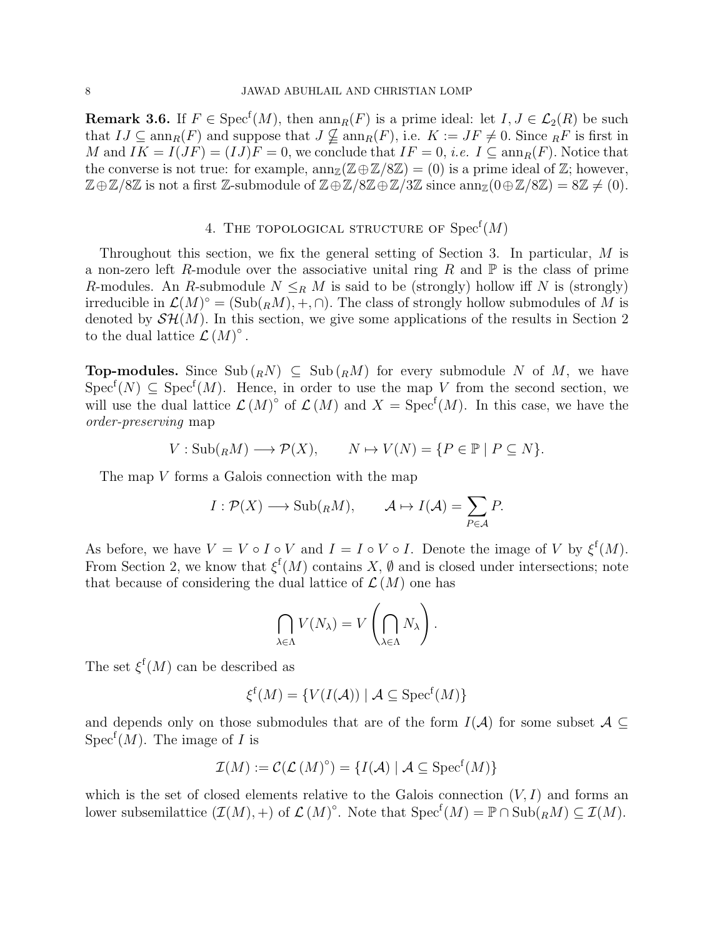**Remark 3.6.** If  $F \in \text{Spec}^f(M)$ , then  $\text{ann}_R(F)$  is a prime ideal: let  $I, J \in \mathcal{L}_2(R)$  be such that  $IJ \subseteq \text{ann}_R(F)$  and suppose that  $J \nsubseteq \text{ann}_R(F)$ , i.e.  $K := JF \neq 0$ . Since  $_RF$  is first in M and  $IK = I(JF) = (IJ)F = 0$ , we conclude that  $IF = 0$ , *i.e.*  $I \subseteq \text{ann}_R(F)$ . Notice that the converse is not true: for example,  $ann_{\mathbb{Z}}(\mathbb{Z}\oplus\mathbb{Z}/8\mathbb{Z}) = (0)$  is a prime ideal of  $\mathbb{Z}$ ; however,  $\mathbb{Z} \oplus \mathbb{Z}/8\mathbb{Z}$  is not a first  $\mathbb{Z}$ -submodule of  $\mathbb{Z} \oplus \mathbb{Z}/8\mathbb{Z} \oplus \mathbb{Z}/3\mathbb{Z}$  since  $\text{ann}_{\mathbb{Z}}(0 \oplus \mathbb{Z}/8\mathbb{Z}) = 8\mathbb{Z} \neq (0)$ .

# 4. THE TOPOLOGICAL STRUCTURE OF  $\mathrm{Spec}^{\mathrm{f}}(M)$

Throughout this section, we fix the general setting of Section 3. In particular, M is a non-zero left R-module over the associative unital ring R and  $\mathbb P$  is the class of prime R-modules. An R-submodule  $N \leq_R M$  is said to be (strongly) hollow iff N is (strongly) irreducible in  $\mathcal{L}(M)^\circ = (\mathrm{Sub}({}_RM), +, \cap)$ . The class of strongly hollow submodules of M is denoted by  $\mathcal{SH}(M)$ . In this section, we give some applications of the results in Section 2 to the dual lattice  $\mathcal{L}(M)^\circ$ .

**Top-modules.** Since  $\text{Sub} ({}_R N) \subseteq \text{Sub} ({}_R M)$  for every submodule N of M, we have  $Spec^{f}(N) \subseteq Spec^{f}(M)$ . Hence, in order to use the map V from the second section, we will use the dual lattice  $\mathcal{L}(M)^\circ$  of  $\mathcal{L}(M)$  and  $X = \text{Spec}^f(M)$ . In this case, we have the order-preserving map

$$
V: \mathrm{Sub}(_RM) \longrightarrow \mathcal{P}(X), \qquad N \mapsto V(N) = \{P \in \mathbb{P} \mid P \subseteq N\}.
$$

The map V forms a Galois connection with the map

$$
I: \mathcal{P}(X) \longrightarrow \text{Sub}_{R}(n, M), \qquad \mathcal{A} \mapsto I(\mathcal{A}) = \sum_{P \in \mathcal{A}} P.
$$

As before, we have  $V = V \circ I \circ V$  and  $I = I \circ V \circ I$ . Denote the image of V by  $\xi^{\mathrm{f}}(M)$ . From Section 2, we know that  $\xi^f(M)$  contains X,  $\emptyset$  and is closed under intersections; note that because of considering the dual lattice of  $\mathcal{L}(M)$  one has

$$
\bigcap_{\lambda \in \Lambda} V(N_{\lambda}) = V\left(\bigcap_{\lambda \in \Lambda} N_{\lambda}\right).
$$

The set  $\xi^{\text{f}}(M)$  can be described as

$$
\xi^{\mathrm{f}}(M) = \{ V(I(\mathcal{A})) \mid \mathcal{A} \subseteq \mathrm{Spec}^{\mathrm{f}}(M) \}
$$

and depends only on those submodules that are of the form  $I(A)$  for some subset  $A \subseteq$  $Spec<sup>f</sup>(M)$ . The image of I is

$$
\mathcal{I}(M):=\mathcal{C}(\mathcal{L}(M)^{\circ})=\{I(\mathcal{A})\mid \mathcal{A}\subseteq \mathrm{Spec}^{\mathrm{f}}(M)\}
$$

which is the set of closed elements relative to the Galois connection  $(V, I)$  and forms an lower subsemilattice  $(\mathcal{I}(M), +)$  of  $\mathcal{L}(M)^\circ$ . Note that  $Spec^f(M) = \mathbb{P} \cap Sub(_RM) \subseteq \mathcal{I}(M)$ .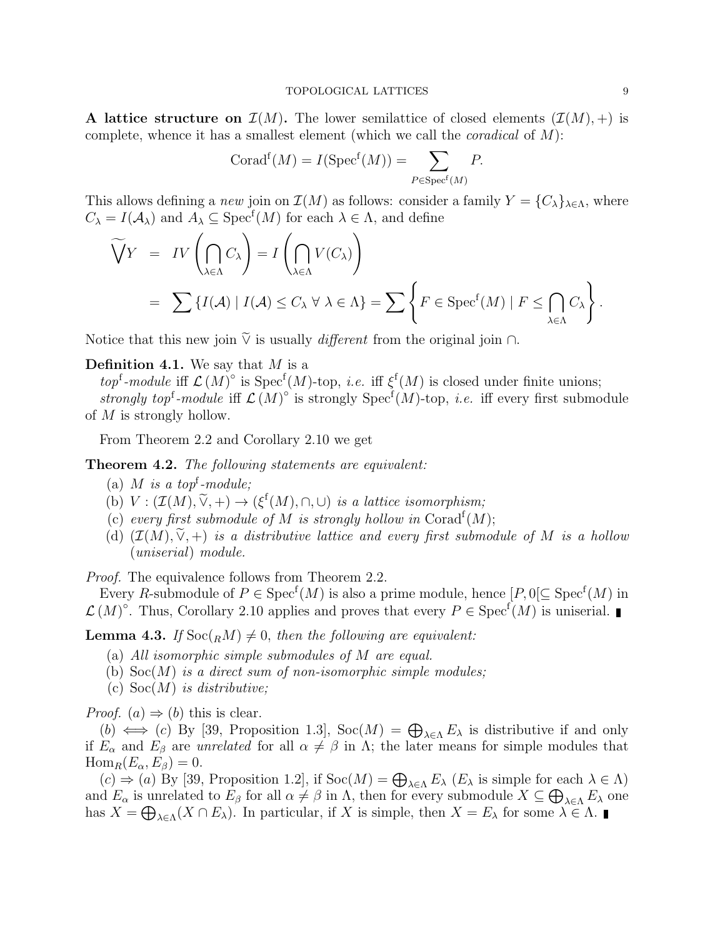A lattice structure on  $\mathcal{I}(M)$ . The lower semilattice of closed elements  $(\mathcal{I}(M), +)$  is complete, whence it has a smallest element (which we call the *coradical* of  $M$ ):

$$
Corad^{f}(M) = I(Spec^{f}(M)) = \sum_{P \in Spec^{f}(M)} P.
$$

This allows defining a new join on  $\mathcal{I}(M)$  as follows: consider a family  $Y = \{C_{\lambda}\}_{{\lambda \in \Lambda}}$ , where  $C_{\lambda} = I(\mathcal{A}_{\lambda})$  and  $A_{\lambda} \subseteq \text{Spec}^{\text{f}}(M)$  for each  $\lambda \in \Lambda$ , and define

$$
\widetilde{\bigvee} Y = IV \left( \bigcap_{\lambda \in \Lambda} C_{\lambda} \right) = I \left( \bigcap_{\lambda \in \Lambda} V(C_{\lambda}) \right)
$$
\n
$$
= \sum \{ I(\mathcal{A}) \mid I(\mathcal{A}) \le C_{\lambda} \forall \lambda \in \Lambda \} = \sum \left\{ F \in \text{Spec}^{f}(M) \mid F \le \bigcap_{\lambda \in \Lambda} C_{\lambda} \right\}.
$$

Notice that this new join  $\widetilde{\vee}$  is usually *different* from the original join ∩.

### **Definition 4.1.** We say that  $M$  is a

top<sup>f</sup>-module iff  $\mathcal{L}(M)^\circ$  is  $Spec^f(M)$ -top, *i.e.* iff  $\xi^f(M)$  is closed under finite unions; strongly top<sup>f</sup>-module iff  $\mathcal{L}(M)^\circ$  is strongly Spec<sup>f</sup>(M)-top, *i.e.* iff every first submodule of  $M$  is strongly hollow.

From Theorem 2.2 and Corollary 2.10 we get

Theorem 4.2. The following statements are equivalent:

- (a) M is a top<sup>f</sup>-module;
- (b)  $V : (\mathcal{I}(M), \tilde{\vee}, +) \to (\xi^f(M), \cap, \cup)$  is a lattice isomorphism;
- (c) every first submodule of M is strongly hollow in Corad<sup>f</sup> $(M)$ ;
- (d)  $(\mathcal{I}(M), \tilde{\vee}, +)$  is a distributive lattice and every first submodule of M is a hollow (uniserial) module.

Proof. The equivalence follows from Theorem 2.2.

Every R-submodule of  $P \in \text{Spec}^f(M)$  is also a prime module, hence  $[P, 0] \subseteq \text{Spec}^f(M)$  in  $\mathcal{L}(M)^\circ$ . Thus, Corollary 2.10 applies and proves that every  $P \in \mathrm{Spec}^f(M)$  is uniserial.

**Lemma 4.3.** If  $\text{Soc}(<sub>R</sub>M) \neq 0$ , then the following are equivalent:

- (a) All isomorphic simple submodules of M are equal.
- (b)  $Soc(M)$  is a direct sum of non-isomorphic simple modules;
- (c)  $Soc(M)$  is distributive;

*Proof.* (a)  $\Rightarrow$  (b) this is clear.

(b)  $\iff$  (c) By [39, Proposition 1.3], Soc(M) =  $\bigoplus_{\lambda \in \Lambda} E_{\lambda}$  is distributive if and only if  $E_{\alpha}$  and  $E_{\beta}$  are unrelated for all  $\alpha \neq \beta$  in  $\Lambda$ ; the later means for simple modules that  $\text{Hom}_R(E_\alpha, E_\beta) = 0.$ 

 $(c) \Rightarrow (a)$  By [39, Proposition 1.2], if  $Soc(M) = \bigoplus_{\lambda \in \Lambda} E_{\lambda}$  ( $E_{\lambda}$  is simple for each  $\lambda \in \Lambda$ ) and  $E_{\alpha}$  is unrelated to  $E_{\beta}$  for all  $\alpha \neq \beta$  in  $\Lambda$ , then for every submodule  $X \subseteq \bigoplus_{\lambda \in \Lambda} E_{\lambda}$  one has  $X = \bigoplus_{\lambda \in \Lambda} (X \cap E_{\lambda})$ . In particular, if X is simple, then  $X = E_{\lambda}$  for some  $\lambda \in \Lambda$ .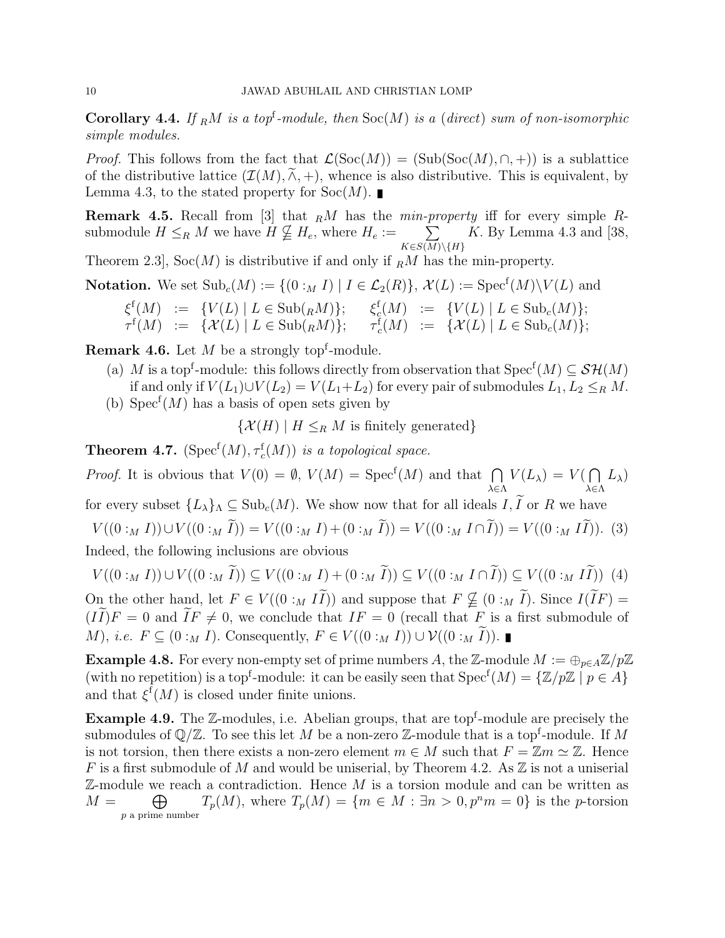**Corollary 4.4.** If  $_R M$  is a top<sup>f</sup>-module, then  $Soc(M)$  is a (direct) sum of non-isomorphic simple modules.

*Proof.* This follows from the fact that  $\mathcal{L}(\mathrm{Soc}(M)) = (\mathrm{Sub}(\mathrm{Soc}(M), \cap, +))$  is a sublattice of the distributive lattice  $(\mathcal{I}(M), \tilde{\wedge}, +)$ , whence is also distributive. This is equivalent, by Lemma 4.3, to the stated property for  $Soc(M)$ .

**Remark 4.5.** Recall from [3] that  $<sub>R</sub>M$  has the min-property iff for every simple R-</sub> submodule  $H \leq_R M$  we have  $H \nsubseteq H_e$ , where  $H_e := \sum_{\Delta}$  $K\in S(M)\backslash\{H\}$ K. By Lemma 4.3 and  $[38,$ 

Theorem 2.3,  $Soc(M)$  is distributive if and only if  $_RM$  has the min-property.

**Notation.** We set  $\text{Sub}_c(M) := \{(0 :_M I) | I \in \mathcal{L}_2(R)\}, \mathcal{X}(L) := \text{Spec}^f(M) \setminus V(L)$  and

$$
\begin{array}{rcl}\n\xi^{\mathrm{f}}(M) & := & \{V(L) \mid L \in \mathrm{Sub}({}_{R}M)\}; \\
\tau^{\mathrm{f}}(M) & := & \{\mathcal{X}(L) \mid L \in \mathrm{Sub}({}_{R}M)\}; \\
\tau^{\mathrm{f}}(M) & := & \{\mathcal{X}(L) \mid L \in \mathrm{Sub}({}_{R}M)\}; \\
\tau^{\mathrm{f}}_{c}(M) & := & \{\mathcal{X}(L) \mid L \in \mathrm{Sub}({}_{c}(M)\}; \\
\end{array}
$$

**Remark 4.6.** Let  $M$  be a strongly top<sup>f</sup>-module.

- (a) M is a top<sup>f</sup>-module: this follows directly from observation that  $Spec^{f}(M) \subseteq \mathcal{SH}(M)$ if and only if  $V(L_1) \cup V(L_2) = V(L_1 + L_2)$  for every pair of submodules  $L_1, L_2 \leq_R M$ .
- (b)  $Spec<sup>f</sup>(M)$  has a basis of open sets given by

 $\{\mathcal{X}(H) \mid H \leq_R M \text{ is finitely generated}\}\$ 

**Theorem 4.7.** ( $Spec^{f}(M), \tau_c^{f}(M)$ ) is a topological space.

*Proof.* It is obvious that  $V(0) = \emptyset$ ,  $V(M) = \text{Spec}^f(M)$  and that  $\bigcap$ λ∈Λ  $V(L_{\lambda})=V(\bigcap$ λ∈Λ  $L_\lambda)$ 

for every subset  $\{L_\lambda\}_\Lambda \subseteq \text{Sub}_c(M)$ . We show now that for all ideals  $I, \tilde{I}$  or R we have

 $V((0:_{M} I))\cup V((0:_{M} \widetilde{I}))=V((0:_{M} I)+(0:_{M} \widetilde{I}))=V((0:_{M} I\cap \widetilde{I}))=V((0:_{M} I\widetilde{I})).$  (3) Indeed, the following inclusions are obvious

 $V((0:_{M} I))\cup V((0:_{M} \widetilde{I}))\subseteq V((0:_{M} I)+(0:_{M} \widetilde{I}))\subseteq V((0:_{M} I\cap \widetilde{I}))\subseteq V((0:_{M} I\widetilde{I}))$  (4)

On the other hand, let  $F \in V((0 :_M I\widetilde{I}))$  and suppose that  $F \nsubseteq (0 :_M \widetilde{I})$ . Since  $I(\widetilde{I}F)$  =  $(I\widetilde{I})F = 0$  and  $\widetilde{I}F \neq 0$ , we conclude that  $IF = 0$  (recall that F is a first submodule of *M*), *i.e.*  $F \subseteq (0 :_M I)$ . Consequently,  $F \in V((0 :_M I)) \cup V((0 :_M I))$ . ■

**Example 4.8.** For every non-empty set of prime numbers A, the Z-module  $M := \bigoplus_{p \in A} \mathbb{Z}/p\mathbb{Z}$ (with no repetition) is a top<sup>f</sup>-module: it can be easily seen that  $Spec^{f}(M) = \{ \mathbb{Z}/p\mathbb{Z} \mid p \in A \}$ and that  $\xi^{\text{f}}(M)$  is closed under finite unions.

**Example 4.9.** The  $\mathbb{Z}$ -modules, i.e. Abelian groups, that are top<sup>f</sup>-module are precisely the submodules of  $\mathbb{Q}/\mathbb{Z}$ . To see this let M be a non-zero  $\mathbb{Z}$ -module that is a top<sup>f</sup>-module. If M is not torsion, then there exists a non-zero element  $m \in M$  such that  $F = \mathbb{Z}m \simeq \mathbb{Z}$ . Hence F is a first submodule of M and would be uniserial, by Theorem 4.2. As  $\mathbb Z$  is not a uniserial  $\mathbb{Z}$ -module we reach a contradiction. Hence M is a torsion module and can be written as  $M =$  $\oplus$ p a prime number  $T_p(M)$ , where  $T_p(M) = \{m \in M : \exists n > 0, p^n m = 0\}$  is the p-torsion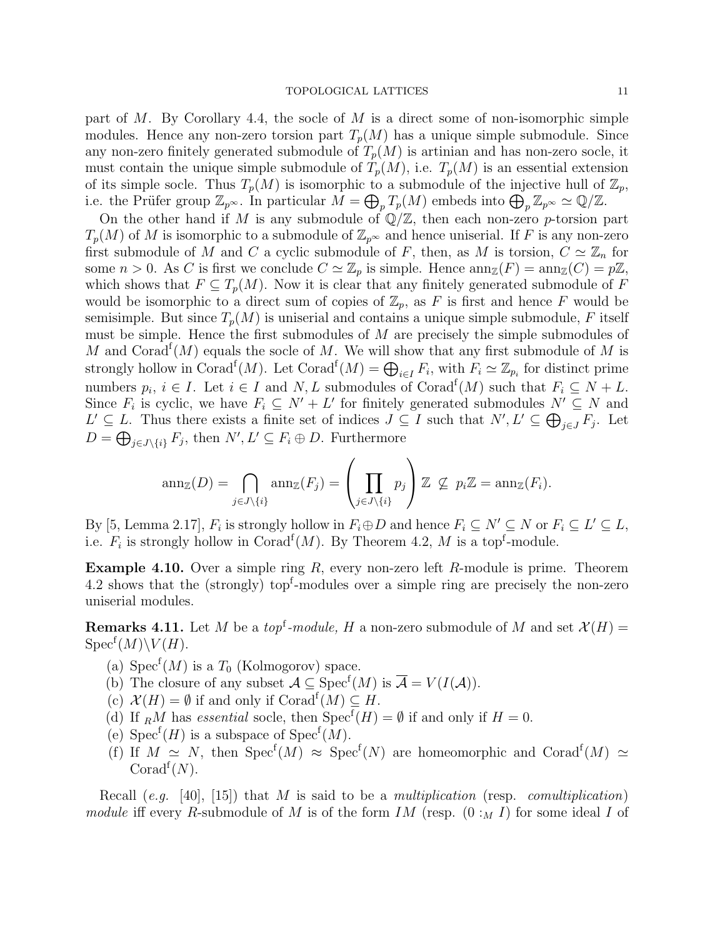#### TOPOLOGICAL LATTICES 11

part of  $M$ . By Corollary 4.4, the socle of  $M$  is a direct some of non-isomorphic simple modules. Hence any non-zero torsion part  $T_p(M)$  has a unique simple submodule. Since any non-zero finitely generated submodule of  $T_p(M)$  is artinian and has non-zero socle, it must contain the unique simple submodule of  $T_p(M)$ , i.e.  $T_p(M)$  is an essential extension of its simple socle. Thus  $T_p(M)$  is isomorphic to a submodule of the injective hull of  $\mathbb{Z}_p$ , i.e. the Prüfer group  $\mathbb{Z}_{p^{\infty}}$ . In particular  $M = \bigoplus_{p} T_{p}(M)$  embeds into  $\bigoplus_{p} \mathbb{Z}_{p^{\infty}} \simeq \mathbb{Q}/\mathbb{Z}$ .

On the other hand if M is any submodule of  $\mathbb{Q}/\mathbb{Z}$ , then each non-zero p-torsion part  $T_p(M)$  of M is isomorphic to a submodule of  $\mathbb{Z}_{p^{\infty}}$  and hence uniserial. If F is any non-zero first submodule of M and C a cyclic submodule of F, then, as M is torsion,  $C \simeq \mathbb{Z}_n$  for some  $n > 0$ . As C is first we conclude  $C \simeq \mathbb{Z}_p$  is simple. Hence  $\text{ann}_{\mathbb{Z}}(F) = \text{ann}_{\mathbb{Z}}(C) = p\mathbb{Z}$ , which shows that  $F \subseteq T_p(M)$ . Now it is clear that any finitely generated submodule of F would be isomorphic to a direct sum of copies of  $\mathbb{Z}_p$ , as F is first and hence F would be semisimple. But since  $T_p(M)$  is uniserial and contains a unique simple submodule, F itself must be simple. Hence the first submodules of M are precisely the simple submodules of M and Corad<sup>f</sup> $(M)$  equals the socle of M. We will show that any first submodule of M is strongly hollow in Corad<sup>f</sup> $(M)$ . Let Corad<sup>f</sup> $(M) = \bigoplus_{i \in I} F_i$ , with  $F_i \simeq \mathbb{Z}_{p_i}$  for distinct prime numbers  $p_i, i \in I$ . Let  $i \in I$  and  $N, L$  submodules of Corad<sup>f</sup> $(M)$  such that  $F_i \subseteq N + L$ . Since  $F_i$  is cyclic, we have  $F_i \subseteq N' + L'$  for finitely generated submodules  $N' \subseteq N$  and  $L' ⊆ L$ . Thus there exists a finite set of indices  $J ⊆ I$  such that  $N', L' ⊆ ⊕_{j ∈ J} F_j$ . Let  $D = \bigoplus_{j \in J \setminus \{i\}} F_j$ , then  $N', L' \subseteq F_i \oplus D$ . Furthermore

$$
\operatorname{ann}_{\mathbb{Z}}(D) = \bigcap_{j \in J \setminus \{i\}} \operatorname{ann}_{\mathbb{Z}}(F_j) = \left(\prod_{j \in J \setminus \{i\}} p_j\right) \mathbb{Z} \nsubseteq p_i \mathbb{Z} = \operatorname{ann}_{\mathbb{Z}}(F_i).
$$

By [5, Lemma 2.17],  $F_i$  is strongly hollow in  $F_i \oplus D$  and hence  $F_i \subseteq N' \subseteq N$  or  $F_i \subseteq L' \subseteq L$ , i.e.  $F_i$  is strongly hollow in Corad<sup>f</sup> $(M)$ . By Theorem 4.2, M is a top<sup>f</sup>-module.

**Example 4.10.** Over a simple ring  $R$ , every non-zero left  $R$ -module is prime. Theorem 4.2 shows that the (strongly) top<sup>f</sup>-modules over a simple ring are precisely the non-zero uniserial modules.

**Remarks 4.11.** Let M be a top<sup>f</sup>-module, H a non-zero submodule of M and set  $\mathcal{X}(H)$  =  $Spec^f(M)\backslash V(H)$ .

- (a)  $Spec^{f}(M)$  is a  $T_0$  (Kolmogorov) space.
- (b) The closure of any subset  $A \subseteq \text{Spec}^f(M)$  is  $\overline{A} = V(I(A)).$
- (c)  $\mathcal{X}(H) = \emptyset$  if and only if  $\text{Corad}^f(M) \subseteq H$ .
- (d) If  $_R M$  has essential socle, then  $Spec^f(H) = \emptyset$  if and only if  $H = 0$ .
- (e)  $Spec^{f}(H)$  is a subspace of  $Spec^{f}(M)$ .
- (f) If  $M \simeq N$ , then  $Spec^f(M) \approx Spec^f(N)$  are homeomorphic and  $Conad^f(M) \simeq$ Corad<sup> $f(N)$ </sup>.

Recall (e.g. [40], [15]) that M is said to be a multiplication (resp. comultiplication) module iff every R-submodule of M is of the form IM (resp.  $(0:_{M} I)$  for some ideal I of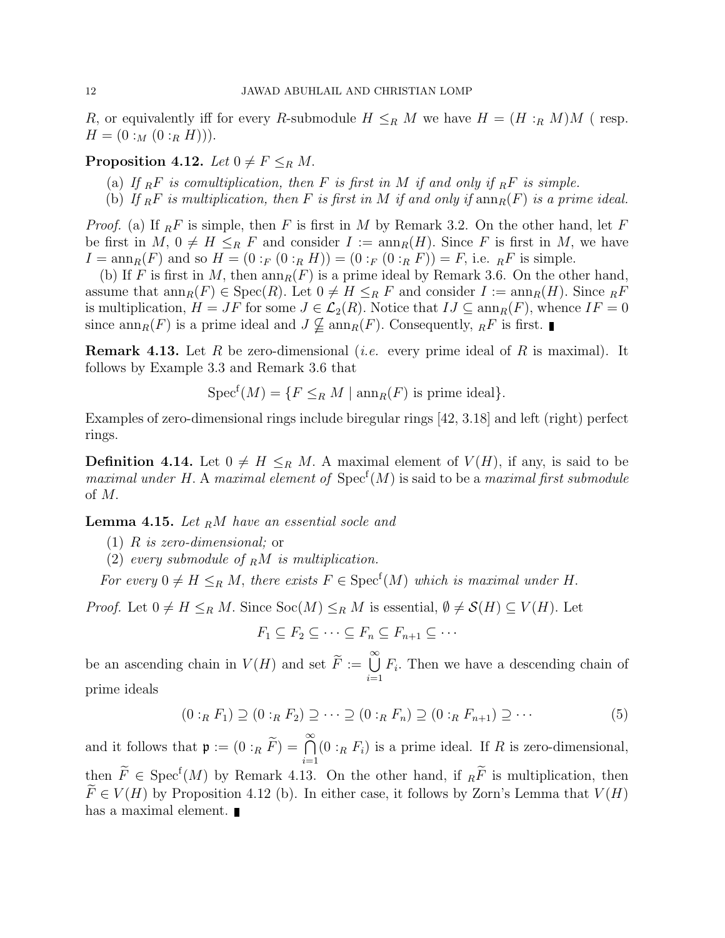R, or equivalently iff for every R-submodule  $H \leq_R M$  we have  $H = (H :_R M)M$  (resp.  $H = (0:_{M} (0:_{R} H))).$ 

## **Proposition 4.12.** Let  $0 \neq F \leq_R M$ .

- (a) If  $_R F$  is comultiplication, then F is first in M if and only if  $_R F$  is simple.
- (b) If  $_R F$  is multiplication, then F is first in M if and only if  $ann_R(F)$  is a prime ideal.

*Proof.* (a) If  $_{R}F$  is simple, then F is first in M by Remark 3.2. On the other hand, let F be first in  $M, 0 \neq H \leq_R F$  and consider  $I := \text{ann}_R(H)$ . Since F is first in M, we have  $I = \text{ann}_R(F)$  and so  $H = (0 :_F (0 :_R H)) = (0 :_F (0 :_R F)) = F$ , i.e.  $_R F$  is simple.

(b) If F is first in M, then  $ann_R(F)$  is a prime ideal by Remark 3.6. On the other hand, assume that  $ann_R(F) \in \text{Spec}(R)$ . Let  $0 \neq H \leq_R F$  and consider  $I := ann_R(H)$ . Since  $R^F$ is multiplication,  $H = JF$  for some  $J \in \mathcal{L}_2(R)$ . Notice that  $IJ \subseteq \text{ann}_R(F)$ , whence  $IF = 0$ since  $\text{ann}_R(F)$  is a prime ideal and  $J \nsubseteq \text{ann}_R(F)$ . Consequently,  $_R F$  is first.

**Remark 4.13.** Let R be zero-dimensional *(i.e.* every prime ideal of R is maximal). It follows by Example 3.3 and Remark 3.6 that

 $Spec^{f}(M) = \{F \leq_R M \mid \text{ann}_R(F) \text{ is prime ideal}\}.$ 

Examples of zero-dimensional rings include biregular rings [42, 3.18] and left (right) perfect rings.

**Definition 4.14.** Let  $0 \neq H \leq_R M$ . A maximal element of  $V(H)$ , if any, is said to be maximal under H. A maximal element of  $Spec<sup>f</sup>(M)$  is said to be a maximal first submodule of M.

**Lemma 4.15.** Let  $_R M$  have an essential socle and

- $(1)$  R is zero-dimensional; or
- (2) every submodule of  $_R M$  is multiplication.

For every  $0 \neq H \leq_R M$ , there exists  $F \in \text{Spec}^f(M)$  which is maximal under H.

*Proof.* Let  $0 \neq H \leq_R M$ . Since  $Soc(M) \leq_R M$  is essential,  $\emptyset \neq \mathcal{S}(H) \subseteq V(H)$ . Let

$$
F_1 \subseteq F_2 \subseteq \cdots \subseteq F_n \subseteq F_{n+1} \subseteq \cdots
$$

be an ascending chain in  $V(H)$  and set  $\widetilde{F} := \bigcup_{i=1}^{\infty}$  $F_i$ . Then we have a descending chain of prime ideals

$$
(0:_{R} F_{1}) \supseteq (0:_{R} F_{2}) \supseteq \cdots \supseteq (0:_{R} F_{n}) \supseteq (0:_{R} F_{n+1}) \supseteq \cdots
$$
\n
$$
(5)
$$

and it follows that  $\mathfrak{p} := (0 :_R \widetilde{F}) = \bigcap_{i=1}^{\infty}$  $(0:_{R} F_{i})$  is a prime ideal. If R is zero-dimensional, then  $\widetilde{F} \in \text{Spec}^{\mathfrak{f}}(M)$  by Remark 4.13. On the other hand, if  $_R \widetilde{F}$  is multiplication, then  $\widetilde{F}\in V(H)$  by Proposition 4.12 (b). In either case, it follows by Zorn's Lemma that  $V(H)$ has a maximal element.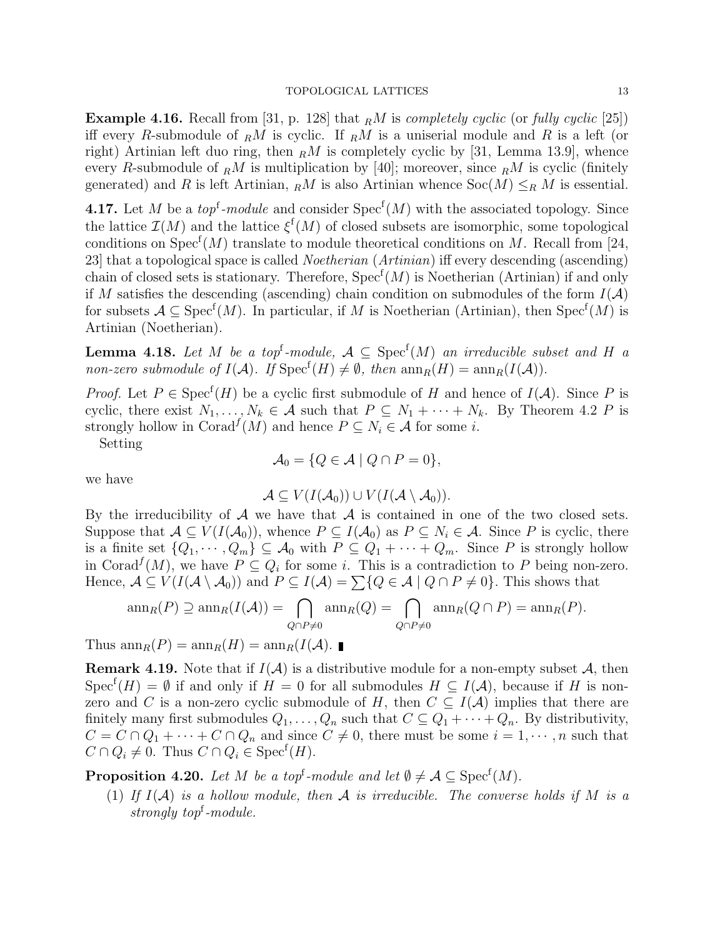**Example 4.16.** Recall from [31, p. 128] that  $_R M$  is completely cyclic (or fully cyclic [25]) iff every R-submodule of  $_R M$  is cyclic. If  $_R M$  is a uniserial module and R is a left (or right) Artinian left duo ring, then  $\epsilon M$  is completely cyclic by [31, Lemma 13.9], whence every R-submodule of  $_R M$  is multiplication by [40]; moreover, since  $_R M$  is cyclic (finitely generated) and R is left Artinian,  $_R M$  is also Artinian whence  $Soc(M) \leq_R M$  is essential.

**4.17.** Let M be a *top*<sup>f</sup>-module and consider  $Spec<sup>f</sup>(M)$  with the associated topology. Since the lattice  $\mathcal{I}(M)$  and the lattice  $\xi^{\mathrm{f}}(M)$  of closed subsets are isomorphic, some topological conditions on  $Spec^{f}(M)$  translate to module theoretical conditions on M. Recall from [24, 23] that a topological space is called Noetherian (Artinian) iff every descending (ascending) chain of closed sets is stationary. Therefore,  $Spec^{f}(M)$  is Noetherian (Artinian) if and only if M satisfies the descending (ascending) chain condition on submodules of the form  $I(\mathcal{A})$ for subsets  $A \subseteq \mathrm{Spec}^f(M)$ . In particular, if M is Noetherian (Artinian), then  $\mathrm{Spec}^f(M)$  is Artinian (Noetherian).

**Lemma 4.18.** Let M be a top<sup>f</sup>-module,  $A \subseteq \text{Spec}^f(M)$  an irreducible subset and H a non-zero submodule of  $I(\mathcal{A})$ . If  $Spec^f(H) \neq \emptyset$ , then  $ann_R(H) = ann_R(I(\mathcal{A}))$ .

*Proof.* Let  $P \in \text{Spec}^f(H)$  be a cyclic first submodule of H and hence of  $I(A)$ . Since P is cyclic, there exist  $N_1, \ldots, N_k \in \mathcal{A}$  such that  $P \subseteq N_1 + \cdots + N_k$ . By Theorem 4.2 P is strongly hollow in Corad<sup> $f(M)$ </sup> and hence  $P \subseteq N_i \in \mathcal{A}$  for some *i*.

Setting

$$
\mathcal{A}_0 = \{ Q \in \mathcal{A} \mid Q \cap P = 0 \},
$$

we have

$$
\mathcal{A}\subseteq V(I(\mathcal{A}_0))\cup V(I(\mathcal{A}\setminus\mathcal{A}_0)).
$$

By the irreducibility of  $\mathcal A$  we have that  $\mathcal A$  is contained in one of the two closed sets. Suppose that  $A \subseteq V(I(\mathcal{A}_0))$ , whence  $P \subseteq I(\mathcal{A}_0)$  as  $P \subseteq N_i \in \mathcal{A}$ . Since P is cyclic, there is a finite set  $\{Q_1, \dots, Q_m\} \subseteq \mathcal{A}_0$  with  $P \subseteq Q_1 + \dots + Q_m$ . Since P is strongly hollow in Corad<sup> $f(M)$ </sup>, we have  $P \subseteq Q_i$  for some i. This is a contradiction to P being non-zero. Hence,  $A \subseteq V(I(A \setminus A_0))$  and  $P \subseteq I(A) = \sum \{Q \in A \mid Q \cap P \neq 0\}$ . This shows that

$$
\operatorname{ann}_R(P) \supseteq \operatorname{ann}_R(I(\mathcal{A})) = \bigcap_{Q \cap P \neq 0} \operatorname{ann}_R(Q) = \bigcap_{Q \cap P \neq 0} \operatorname{ann}_R(Q \cap P) = \operatorname{ann}_R(P).
$$

Thus  $\text{ann}_R(P) = \text{ann}_R(H) = \text{ann}_R(I(\mathcal{A}).$ 

**Remark 4.19.** Note that if  $I(A)$  is a distributive module for a non-empty subset A, then Spec<sup>f</sup> $(H) = \emptyset$  if and only if  $H = 0$  for all submodules  $H \subseteq I(\mathcal{A})$ , because if H is nonzero and C is a non-zero cyclic submodule of H, then  $C \subseteq I(\mathcal{A})$  implies that there are finitely many first submodules  $Q_1, \ldots, Q_n$  such that  $C \subseteq Q_1 + \cdots + Q_n$ . By distributivity,  $C = C \cap Q_1 + \cdots + C \cap Q_n$  and since  $C \neq 0$ , there must be some  $i = 1, \dots, n$  such that  $C \cap Q_i \neq 0$ . Thus  $C \cap Q_i \in \text{Spec}^f(H)$ .

**Proposition 4.20.** Let M be a top<sup>f</sup>-module and let  $\emptyset \neq A \subseteq \text{Spec}^{\text{f}}(M)$ .

(1) If  $I(A)$  is a hollow module, then A is irreducible. The converse holds if M is a strongly top<sup>f</sup>-module.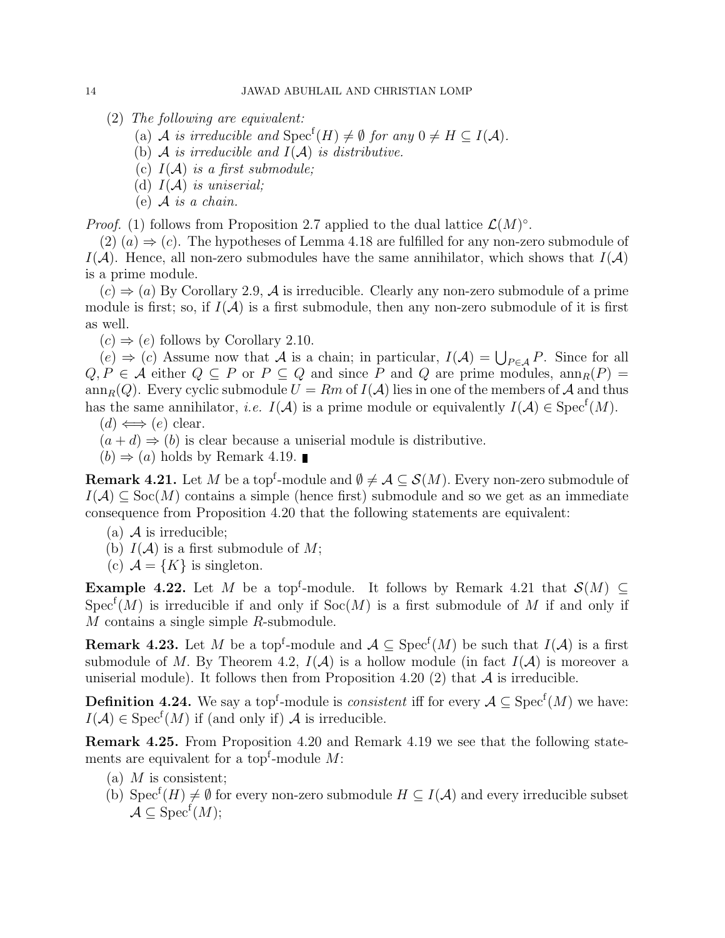- (2) The following are equivalent:
	- (a) A is irreducible and  $Spec^f(H) \neq \emptyset$  for any  $0 \neq H \subseteq I(\mathcal{A})$ .
	- (b)  $\mathcal A$  is irreducible and  $I(\mathcal A)$  is distributive.
	- (c)  $I(A)$  is a first submodule;
	- (d)  $I(\mathcal{A})$  is uniserial;
	- (e)  $A$  is a chain.

*Proof.* (1) follows from Proposition 2.7 applied to the dual lattice  $\mathcal{L}(M)^\circ$ .

 $(2)$   $(a) \Rightarrow (c)$ . The hypotheses of Lemma 4.18 are fulfilled for any non-zero submodule of  $I(\mathcal{A})$ . Hence, all non-zero submodules have the same annihilator, which shows that  $I(\mathcal{A})$ is a prime module.

 $(c) \Rightarrow (a)$  By Corollary 2.9, A is irreducible. Clearly any non-zero submodule of a prime module is first; so, if  $I(\mathcal{A})$  is a first submodule, then any non-zero submodule of it is first as well.

 $(c) \Rightarrow (e)$  follows by Corollary 2.10.

 $(e) \Rightarrow (c)$  Assume now that A is a chain; in particular,  $I(A) = \bigcup_{P \in A} P$ . Since for all  $Q, P \in \mathcal{A}$  either  $Q \subseteq P$  or  $P \subseteq Q$  and since P and Q are prime modules,  $ann_R(P)$ ann<sub>R</sub>(Q). Every cyclic submodule  $U = Rm$  of  $I(A)$  lies in one of the members of A and thus has the same annihilator, *i.e.*  $I(A)$  is a prime module or equivalently  $I(A) \in \text{Spec}^f(M)$ .  $(d) \Leftrightarrow (e)$  clear.

- 
- $(a + d) \Rightarrow (b)$  is clear because a uniserial module is distributive.

 $(b) \Rightarrow (a)$  holds by Remark 4.19.

**Remark 4.21.** Let  $M$  be a top<sup>f</sup>-module and  $\emptyset \neq \mathcal{A} \subseteq \mathcal{S}(M)$ . Every non-zero submodule of  $I(\mathcal{A}) \subseteq \text{Soc}(M)$  contains a simple (hence first) submodule and so we get as an immediate consequence from Proposition 4.20 that the following statements are equivalent:

- (a)  $\mathcal A$  is irreducible;
- (b)  $I(A)$  is a first submodule of M;
- (c)  $\mathcal{A} = \{K\}$  is singleton.

**Example 4.22.** Let M be a top<sup>f</sup>-module. It follows by Remark 4.21 that  $\mathcal{S}(M) \subseteq$  $Spec<sup>f</sup>(M)$  is irreducible if and only if  $Soc(M)$  is a first submodule of M if and only if M contains a single simple R-submodule.

**Remark 4.23.** Let M be a top<sup>f</sup>-module and  $\mathcal{A} \subseteq \text{Spec}^f(M)$  be such that  $I(\mathcal{A})$  is a first submodule of M. By Theorem 4.2,  $I(A)$  is a hollow module (in fact  $I(A)$  is moreover a uniserial module). It follows then from Proposition 4.20 (2) that  $A$  is irreducible.

**Definition 4.24.** We say a top<sup>f</sup>-module is *consistent* iff for every  $A \subseteq \text{Spec}^f(M)$  we have:  $I(\mathcal{A}) \in \text{Spec}^f(M)$  if (and only if) A is irreducible.

Remark 4.25. From Proposition 4.20 and Remark 4.19 we see that the following statements are equivalent for a top<sup>f</sup>-module  $M$ :

- (a)  $M$  is consistent;
- (b) Spec<sup>f</sup> $(H) \neq \emptyset$  for every non-zero submodule  $H \subseteq I(\mathcal{A})$  and every irreducible subset  $\mathcal{A} \subseteq \mathrm{Spec}^{\mathrm{f}}(M);$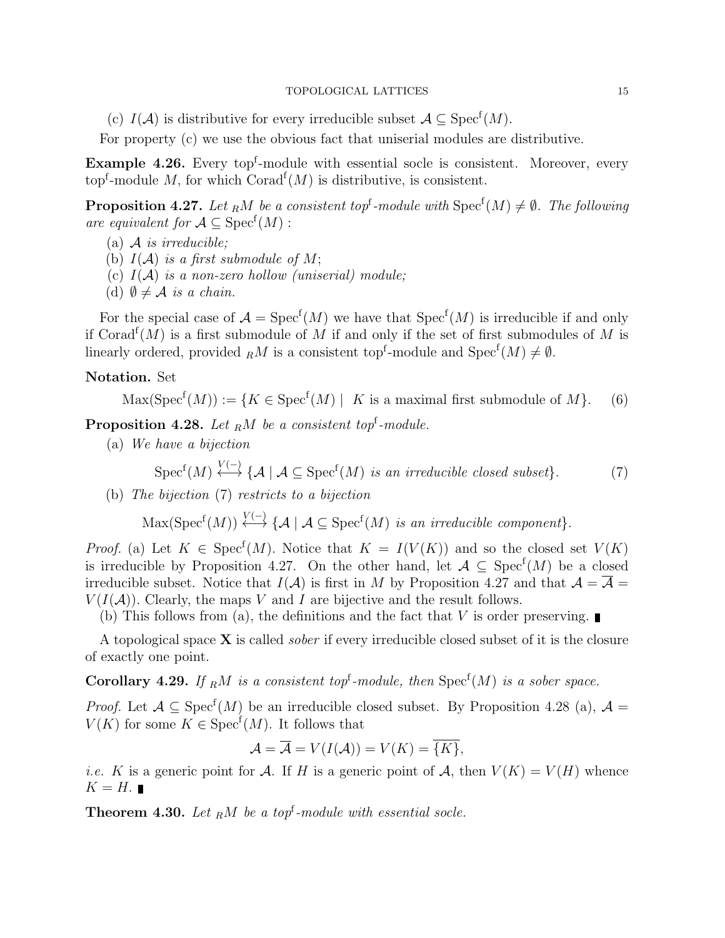(c)  $I(\mathcal{A})$  is distributive for every irreducible subset  $\mathcal{A} \subseteq \text{Spec}^f(M)$ .

For property (c) we use the obvious fact that uniserial modules are distributive.

**Example 4.26.** Every top<sup>f</sup>-module with essential socle is consistent. Moreover, every top<sup>f</sup>-module M, for which  $\text{Corad}^f(M)$  is distributive, is consistent.

**Proposition 4.27.** Let <sub>R</sub>M be a consistent top<sup>f</sup>-module with  $Spec^{f}(M) \neq \emptyset$ . The following are equivalent for  $A \subseteq \text{Spec}^f(M)$ :

- (a)  $\mathcal A$  is irreducible;
- (b)  $I(A)$  is a first submodule of M;
- (c)  $I(A)$  is a non-zero hollow (uniserial) module;
- (d)  $\emptyset \neq A$  is a chain.

For the special case of  $\mathcal{A} = \text{Spec}^f(M)$  we have that  $\text{Spec}^f(M)$  is irreducible if and only if Corad<sup>f</sup> $(M)$  is a first submodule of M if and only if the set of first submodules of M is linearly ordered, provided  $_R M$  is a consistent top<sup>f</sup>-module and  $Spec^f(M) \neq \emptyset$ .

## Notation. Set

 $\text{Max}(\text{Spec}^f(M)) := \{ K \in \text{Spec}^f(M) \mid K \text{ is a maximal first submodule of } M \}.$  (6)

**Proposition 4.28.** Let  $_R M$  be a consistent top<sup>f</sup>-module.

(a) We have a bijection

$$
\operatorname{Spec}^{\mathsf{f}}(M) \stackrel{V(-)}{\longleftrightarrow} \{ \mathcal{A} \mid \mathcal{A} \subseteq \operatorname{Spec}^{\mathsf{f}}(M) \text{ is an irreducible closed subset} \}. \tag{7}
$$

(b) The bijection (7) restricts to a bijection

 $\text{Max}(\text{Spec}^f(M)) \stackrel{V(-)}{\longleftrightarrow} \{ \mathcal{A} \mid \mathcal{A} \subseteq \text{Spec}^f(M) \text{ is an irreducible component} \}.$ 

*Proof.* (a) Let  $K \in \text{Spec}^f(M)$ . Notice that  $K = I(V(K))$  and so the closed set  $V(K)$ is irreducible by Proposition 4.27. On the other hand, let  $A \subseteq \text{Spec}^f(M)$  be a closed irreducible subset. Notice that  $I(A)$  is first in M by Proposition 4.27 and that  $A = \overline{A}$  $V(I(\mathcal{A}))$ . Clearly, the maps V and I are bijective and the result follows.

(b) This follows from (a), the definitions and the fact that V is order preserving.

A topological space  $X$  is called *sober* if every irreducible closed subset of it is the closure of exactly one point.

**Corollary 4.29.** If RM is a consistent top<sup>f</sup>-module, then  $Spec^{f}(M)$  is a sober space.

*Proof.* Let  $A \subseteq \text{Spec}^f(M)$  be an irreducible closed subset. By Proposition 4.28 (a),  $A =$  $V(K)$  for some  $K \in \text{Spec}^f(M)$ . It follows that

$$
\mathcal{A} = \overline{\mathcal{A}} = V(I(\mathcal{A})) = V(K) = \overline{\{K\}},
$$

*i.e.* K is a generic point for A. If H is a generic point of A, then  $V(K) = V(H)$  whence  $K = H.$ 

**Theorem 4.30.** Let  $_R M$  be a top<sup>f</sup>-module with essential socle.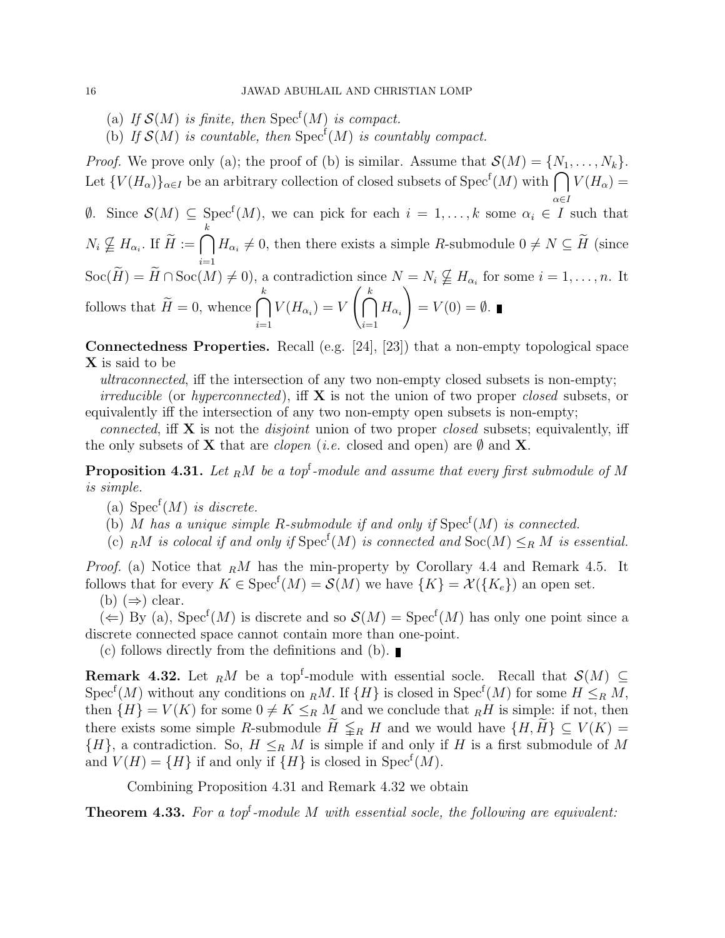- (a) If  $\mathcal{S}(M)$  is finite, then  $Spec^{f}(M)$  is compact.
- (b) If  $\mathcal{S}(M)$  is countable, then  $\text{Spec}^f(M)$  is countably compact.

*Proof.* We prove only (a); the proof of (b) is similar. Assume that  $\mathcal{S}(M) = \{N_1, \ldots, N_k\}.$ Let  ${V(H_\alpha)}_{\alpha\in I}$  be an arbitrary collection of closed subsets of  $Spec^f(M)$  with  $\bigcap V(H_\alpha)$  = α∈I

 $\emptyset$ . Since  $\mathcal{S}(M)$  ⊆ Spec<sup>f</sup>(M), we can pick for each  $i = 1, ..., k$  some  $\alpha_i \in I$  such that  $N_i \nsubseteq H_{\alpha_i}$ . If  $\widetilde{H} := \bigcap$ k  $i=1$  $H_{\alpha_i} \neq 0$ , then there exists a simple R-submodule  $0 \neq N \subseteq H$  (since  $Soc(\widetilde{H}) = \widetilde{H} \cap \text{Soc}(M) \neq 0$ , a contradiction since  $N = N_i \nsubseteq H_{\alpha_i}$  for some  $i = 1, \ldots, n$ . It follows that  $\widetilde{H} = 0$ , whence  $\bigcap$ k  $i=1$  $V(H_{\alpha_i})=V\left(\bigcap\limits_{i=1}^kV_i\right)$  $i=1$  $H_{\alpha_i}$  $\setminus$  $= V(0) = \emptyset.$ 

Connectedness Properties. Recall (e.g. [24], [23]) that a non-empty topological space X is said to be

ultraconnected, iff the intersection of any two non-empty closed subsets is non-empty;

*irreducible* (or *hyperconnected*), iff  $X$  is not the union of two proper *closed* subsets, or equivalently iff the intersection of any two non-empty open subsets is non-empty;

connected, if **X** is not the *disjoint* union of two proper *closed* subsets; equivalently, iff the only subsets of **X** that are *clopen* (*i.e.* closed and open) are  $\emptyset$  and **X**.

**Proposition 4.31.** Let  $_R M$  be a top<sup>f</sup>-module and assume that every first submodule of M is simple.

- (a)  $Spec^f(M)$  is discrete.
- (b) M has a unique simple R-submodule if and only if  $Spec^{f}(M)$  is connected.
- (c) RM is colocal if and only if  $Spec^f(M)$  is connected and  $Soc(M) \leq_R M$  is essential.

*Proof.* (a) Notice that  $_R M$  has the min-property by Corollary 4.4 and Remark 4.5. It follows that for every  $K \in \text{Spec}^f(M) = \mathcal{S}(M)$  we have  $\{K\} = \mathcal{X}(\{K_e\})$  an open set. (b)  $(\Rightarrow)$  clear.

 $(\Leftarrow)$  By (a), Spec<sup>f</sup>(M) is discrete and so  $\mathcal{S}(M) = \text{Spec}^f(M)$  has only one point since a discrete connected space cannot contain more than one-point.

(c) follows directly from the definitions and (b).

**Remark 4.32.** Let  $_R M$  be a top<sup>f</sup>-module with essential socle. Recall that  $\mathcal{S}(M) \subseteq$  $Spec<sup>f</sup>(M)$  without any conditions on  $_R M$ . If  $\{H\}$  is closed in  $Spec<sup>f</sup>(M)$  for some  $H \leq_R M$ , then  $\{H\} = V(K)$  for some  $0 \neq K \leq_R M$  and we conclude that  $_RH$  is simple: if not, then there exists some simple R-submodule  $\widetilde{H} \leq_R H$  and we would have  $\{H, \widetilde{H}\} \subseteq V(K)$  $\{H\}$ , a contradiction. So,  $H \leq_R M$  is simple if and only if H is a first submodule of M and  $V(H) = \{H\}$  if and only if  $\{H\}$  is closed in Spec<sup>f</sup> $(M)$ .

Combining Proposition 4.31 and Remark 4.32 we obtain

**Theorem 4.33.** For a top<sup>f</sup>-module M with essential socle, the following are equivalent: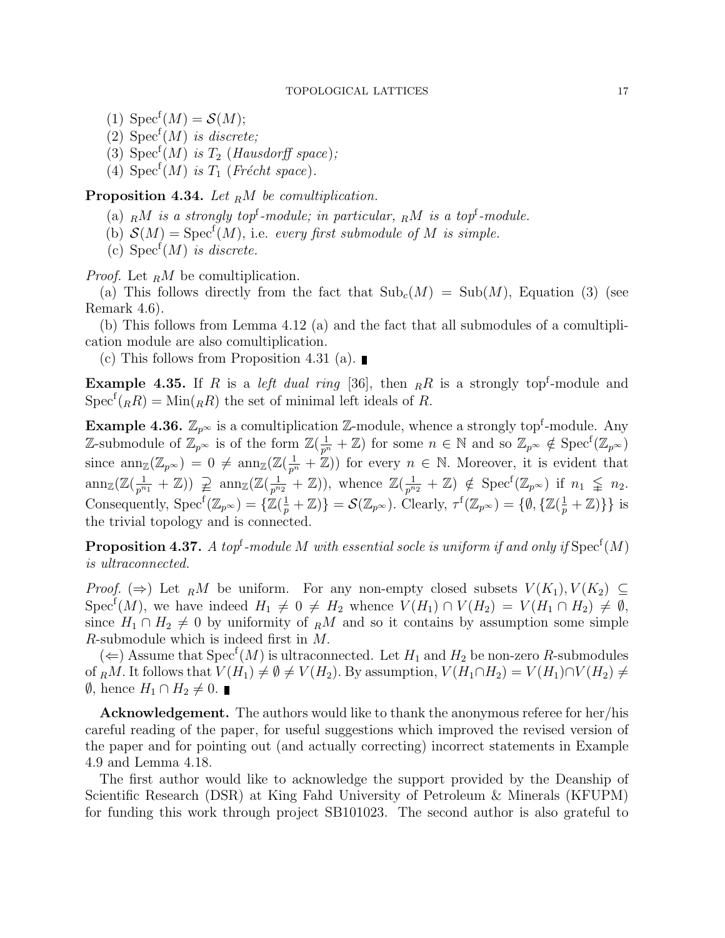- (1)  $Spec^f(M) = \mathcal{S}(M);$
- (2)  $Spec<sup>f</sup>(M)$  is discrete;
- (3)  $Spec^f(M)$  is  $T_2$  (Hausdorff space);
- (4)  $Spec^f(M)$  is  $T_1$  (Frécht space).

**Proposition 4.34.** Let  $_R M$  be comultiplication.

- (a)  $_R M$  is a strongly top<sup>f</sup>-module; in particular,  $_R M$  is a top<sup>f</sup>-module.
- (b)  $\mathcal{S}(M) = \text{Spec}^f(M)$ , i.e. every first submodule of M is simple.
- (c)  $Spec<sup>f</sup>(M)$  is discrete.

*Proof.* Let  $<sub>R</sub>M$  be comultiplication.</sub>

(a) This follows directly from the fact that  $\text{Sub}_c(M) = \text{Sub}(M)$ , Equation (3) (see Remark 4.6).

(b) This follows from Lemma 4.12 (a) and the fact that all submodules of a comultiplication module are also comultiplication.

(c) This follows from Proposition 4.31 (a).

**Example 4.35.** If R is a *left dual ring* [36], then  $_R R$  is a strongly top<sup>f</sup>-module and  $Spec^{f}({}_{R}R) = Min({}_{R}R)$  the set of minimal left ideals of R.

**Example 4.36.**  $\mathbb{Z}_{p^{\infty}}$  is a comultiplication  $\mathbb{Z}$ -module, whence a strongly top<sup>f</sup>-module. Any Z-submodule of  $\mathbb{Z}_{p^{\infty}}$  is of the form  $\mathbb{Z}(\frac{1}{p^n}+\mathbb{Z})$  for some  $n \in \mathbb{N}$  and so  $\mathbb{Z}_{p^{\infty}} \notin \text{Spec}^f(\mathbb{Z}_{p^{\infty}})$ since  $ann_{\mathbb{Z}}(\mathbb{Z}_{p^{\infty}}) = 0 \neq ann_{\mathbb{Z}}(\mathbb{Z}(\frac{1}{p^{n}} + \mathbb{Z}))$  for every  $n \in \mathbb{N}$ . Moreover, it is evident that  $\text{ann}_{\mathbb{Z}}(\mathbb{Z}(\frac{1}{n^n}))$  $\frac{1}{p^{n_1}} + \mathbb{Z})$ )  $\supsetneq \operatorname{ann}_{\mathbb{Z}}(\mathbb{Z}(\frac{1}{p^n}))$  $\frac{1}{p^{n_2}} + \mathbb{Z}$ ), whence  $\mathbb{Z}(\frac{1}{p^n})$  $\frac{1}{p^{n_2}} + \mathbb{Z}$   $\notin$   $Spec^f(\mathbb{Z}_{p^{\infty}})$  if  $n_1 \leq n_2$ . Consequently,  $Spec^{f}(\mathbb{Z}_{p^{\infty}}) = {\{\mathbb{Z}(\frac{1}{p} + \mathbb{Z})\}} = \mathcal{S}(\mathbb{Z}_{p^{\infty}})$ . Clearly,  $\tau^{f}(\mathbb{Z}_{p^{\infty}}) = {\{\emptyset, {\{\mathbb{Z}(\frac{1}{p} + \mathbb{Z})\}}\}}$  is the trivial topology and is connected.

**Proposition 4.37.** A top<sup>t</sup>-module M with essential socle is uniform if and only if  $\mathrm{Spec}^{\mathrm{f}}(M)$ is ultraconnected.

*Proof.* ( $\Rightarrow$ ) Let RM be uniform. For any non-empty closed subsets  $V(K_1), V(K_2) \subseteq$ Spec<sup>f</sup>(M), we have indeed  $H_1 \neq 0 \neq H_2$  whence  $V(H_1) \cap V(H_2) = V(H_1 \cap H_2) \neq \emptyset$ , since  $H_1 \cap H_2 \neq 0$  by uniformity of RM and so it contains by assumption some simple R-submodule which is indeed first in M.

(  $\Leftarrow$  ) Assume that Spec<sup>f</sup>(*M*) is ultraconnected. Let *H*<sub>1</sub> and *H*<sub>2</sub> be non-zero *R*-submodules of RM. It follows that  $V(H_1) \neq \emptyset \neq V(H_2)$ . By assumption,  $V(H_1 \cap H_2) = V(H_1) \cap V(H_2) \neq$  $\emptyset$ , hence  $H_1 \cap H_2 \neq 0$ . ■

Acknowledgement. The authors would like to thank the anonymous referee for her/his careful reading of the paper, for useful suggestions which improved the revised version of the paper and for pointing out (and actually correcting) incorrect statements in Example 4.9 and Lemma 4.18.

The first author would like to acknowledge the support provided by the Deanship of Scientific Research (DSR) at King Fahd University of Petroleum & Minerals (KFUPM) for funding this work through project SB101023. The second author is also grateful to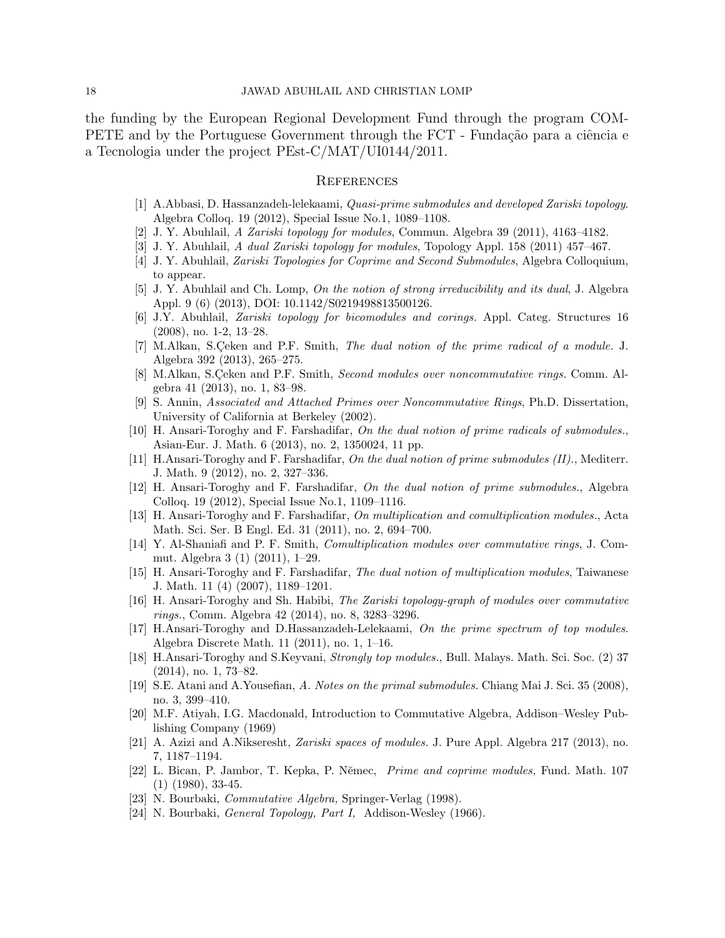the funding by the European Regional Development Fund through the program COM-PETE and by the Portuguese Government through the FCT - Fundação para a ciência e a Tecnologia under the project PEst-C/MAT/UI0144/2011.

### **REFERENCES**

- [1] A.Abbasi, D. Hassanzadeh-lelekaami, Quasi-prime submodules and developed Zariski topology. Algebra Colloq. 19 (2012), Special Issue No.1, 1089–1108.
- [2] J. Y. Abuhlail, A Zariski topology for modules, Commun. Algebra 39 (2011), 4163–4182.
- [3] J. Y. Abuhlail, A dual Zariski topology for modules, Topology Appl. 158 (2011) 457–467.
- [4] J. Y. Abuhlail, Zariski Topologies for Coprime and Second Submodules, Algebra Colloquium, to appear.
- [5] J. Y. Abuhlail and Ch. Lomp, On the notion of strong irreducibility and its dual, J. Algebra Appl. 9 (6) (2013), DOI: 10.1142/S0219498813500126.
- [6] J.Y. Abuhlail, Zariski topology for bicomodules and corings. Appl. Categ. Structures 16 (2008), no. 1-2, 13–28.
- [7] M.Alkan, S.Çeken and P.F. Smith, The dual notion of the prime radical of a module. J. Algebra 392 (2013), 265–275.
- [8] M.Alkan, S.Ceken and P.F. Smith, *Second modules over noncommutative rings.* Comm. Algebra 41 (2013), no. 1, 83–98.
- [9] S. Annin, Associated and Attached Primes over Noncommutative Rings, Ph.D. Dissertation, University of California at Berkeley (2002).
- [10] H. Ansari-Toroghy and F. Farshadifar, On the dual notion of prime radicals of submodules., Asian-Eur. J. Math. 6 (2013), no. 2, 1350024, 11 pp.
- [11] H.Ansari-Toroghy and F. Farshadifar, On the dual notion of prime submodules (II)., Mediterr. J. Math. 9 (2012), no. 2, 327–336.
- [12] H. Ansari-Toroghy and F. Farshadifar, On the dual notion of prime submodules., Algebra Colloq. 19 (2012), Special Issue No.1, 1109–1116.
- [13] H. Ansari-Toroghy and F. Farshadifar, On multiplication and comultiplication modules., Acta Math. Sci. Ser. B Engl. Ed. 31 (2011), no. 2, 694–700.
- [14] Y. Al-Shaniafi and P. F. Smith, Comultiplication modules over commutative rings, J. Commut. Algebra 3 (1) (2011), 1–29.
- [15] H. Ansari-Toroghy and F. Farshadifar, The dual notion of multiplication modules, Taiwanese J. Math. 11 (4) (2007), 1189–1201.
- [16] H. Ansari-Toroghy and Sh. Habibi, The Zariski topology-graph of modules over commutative rings., Comm. Algebra 42 (2014), no. 8, 3283–3296.
- [17] H.Ansari-Toroghy and D.Hassanzadeh-Lelekaami, On the prime spectrum of top modules. Algebra Discrete Math. 11 (2011), no. 1, 1–16.
- [18] H.Ansari-Toroghy and S.Keyvani, Strongly top modules., Bull. Malays. Math. Sci. Soc. (2) 37 (2014), no. 1, 73–82.
- [19] S.E. Atani and A.Yousefian, A. Notes on the primal submodules. Chiang Mai J. Sci. 35 (2008), no. 3, 399–410.
- [20] M.F. Atiyah, I.G. Macdonald, Introduction to Commutative Algebra, Addison–Wesley Publishing Company (1969)
- [21] A. Azizi and A.Nikseresht, Zariski spaces of modules. J. Pure Appl. Algebra 217 (2013), no. 7, 1187–1194.
- [22] L. Bican, P. Jambor, T. Kepka, P. Němec, Prime and coprime modules, Fund. Math. 107 (1) (1980), 33-45.
- [23] N. Bourbaki, Commutative Algebra, Springer-Verlag (1998).
- [24] N. Bourbaki, *General Topology, Part I*, Addison-Wesley (1966).